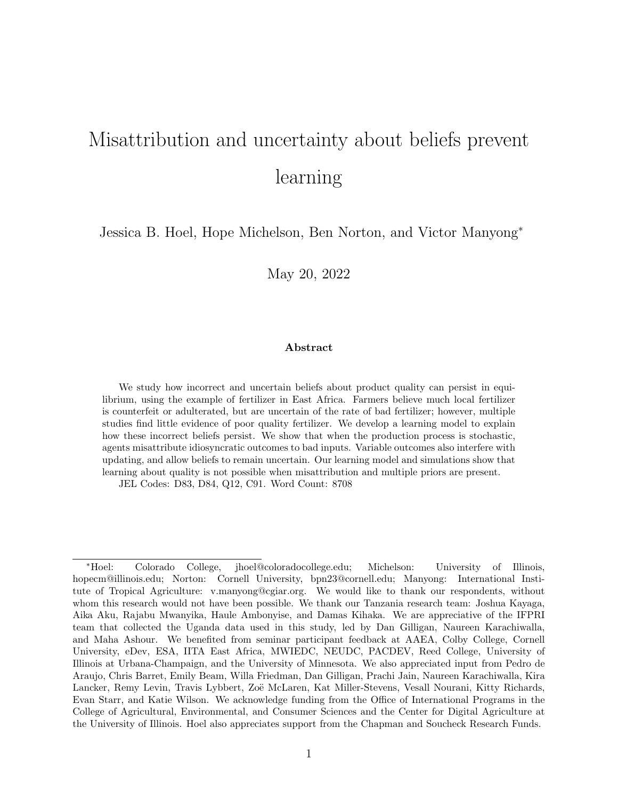# Misattribution and uncertainty about beliefs prevent learning

Jessica B. Hoel, Hope Michelson, Ben Norton, and Victor Manyong<sup>∗</sup>

May 20, 2022

#### Abstract

We study how incorrect and uncertain beliefs about product quality can persist in equilibrium, using the example of fertilizer in East Africa. Farmers believe much local fertilizer is counterfeit or adulterated, but are uncertain of the rate of bad fertilizer; however, multiple studies find little evidence of poor quality fertilizer. We develop a learning model to explain how these incorrect beliefs persist. We show that when the production process is stochastic, agents misattribute idiosyncratic outcomes to bad inputs. Variable outcomes also interfere with updating, and allow beliefs to remain uncertain. Our learning model and simulations show that learning about quality is not possible when misattribution and multiple priors are present.

JEL Codes: D83, D84, Q12, C91. Word Count: 8708

<sup>∗</sup>Hoel: Colorado College, jhoel@coloradocollege.edu; Michelson: University of Illinois, hopecm@illinois.edu; Norton: Cornell University, bpn23@cornell.edu; Manyong: International Institute of Tropical Agriculture: v.manyong@cgiar.org. We would like to thank our respondents, without whom this research would not have been possible. We thank our Tanzania research team: Joshua Kayaga, Aika Aku, Rajabu Mwanyika, Haule Ambonyise, and Damas Kihaka. We are appreciative of the IFPRI team that collected the Uganda data used in this study, led by Dan Gilligan, Naureen Karachiwalla, and Maha Ashour. We benefited from seminar participant feedback at AAEA, Colby College, Cornell University, eDev, ESA, IITA East Africa, MWIEDC, NEUDC, PACDEV, Reed College, University of Illinois at Urbana-Champaign, and the University of Minnesota. We also appreciated input from Pedro de Araujo, Chris Barret, Emily Beam, Willa Friedman, Dan Gilligan, Prachi Jain, Naureen Karachiwalla, Kira Lancker, Remy Levin, Travis Lybbert, Zoë McLaren, Kat Miller-Stevens, Vesall Nourani, Kitty Richards, Evan Starr, and Katie Wilson. We acknowledge funding from the Office of International Programs in the College of Agricultural, Environmental, and Consumer Sciences and the Center for Digital Agriculture at the University of Illinois. Hoel also appreciates support from the Chapman and Soucheck Research Funds.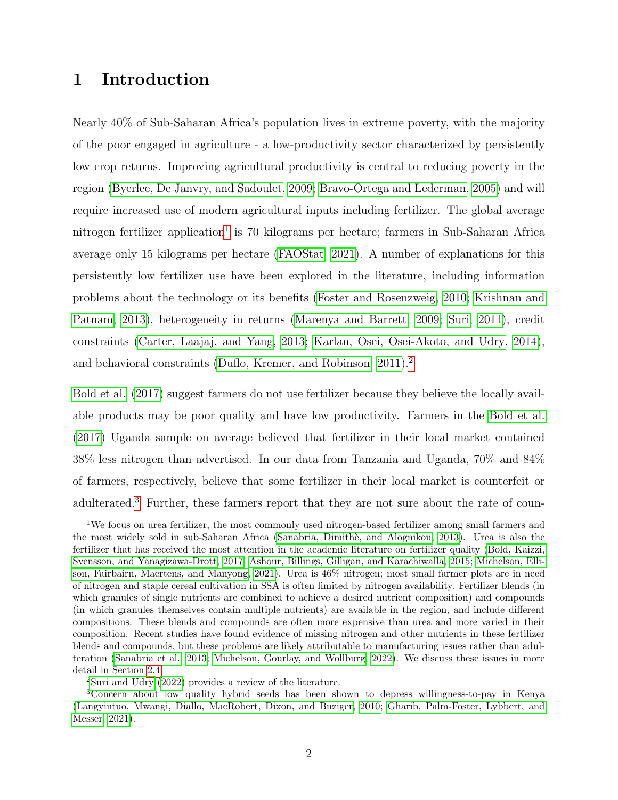# 1 Introduction

Nearly 40% of Sub-Saharan Africa's population lives in extreme poverty, with the majority of the poor engaged in agriculture - a low-productivity sector characterized by persistently low crop returns. Improving agricultural productivity is central to reducing poverty in the region [\(Byerlee, De Janvry, and Sadoulet, 2009;](#page-38-0) [Bravo-Ortega and Lederman, 2005\)](#page-38-1) and will require increased use of modern agricultural inputs including fertilizer. The global average nitrogen fertilizer application<sup>[1](#page-1-0)</sup> is 70 kilograms per hectare; farmers in Sub-Saharan Africa average only 15 kilograms per hectare [\(FAOStat, 2021\)](#page-39-0). A number of explanations for this persistently low fertilizer use have been explored in the literature, including information problems about the technology or its benefits [\(Foster and Rosenzweig, 2010;](#page-39-1) [Krishnan and](#page-40-0) [Patnam, 2013\)](#page-40-0), heterogeneity in returns [\(Marenya and Barrett, 2009;](#page-41-0) [Suri, 2011\)](#page-41-1), credit constraints [\(Carter, Laajaj, and Yang, 2013;](#page-39-2) [Karlan, Osei, Osei-Akoto, and Udry, 2014\)](#page-40-1), and behavioral constraints [\(Duflo, Kremer, and Robinson, 2011\)](#page-39-3).[2](#page-1-1)

[Bold et al. \(2017\)](#page-38-2) suggest farmers do not use fertilizer because they believe the locally available products may be poor quality and have low productivity. Farmers in the [Bold et al.](#page-38-2) [\(2017\)](#page-38-2) Uganda sample on average believed that fertilizer in their local market contained 38% less nitrogen than advertised. In our data from Tanzania and Uganda, 70% and 84% of farmers, respectively, believe that some fertilizer in their local market is counterfeit or adulterated.<sup>[3](#page-1-2)</sup> Further, these farmers report that they are not sure about the rate of coun-

<span id="page-1-2"></span><span id="page-1-1"></span><sup>2</sup>[Suri and Udry](#page-42-0) [\(2022\)](#page-42-0) provides a review of the literature.

<span id="page-1-0"></span><sup>&</sup>lt;sup>1</sup>We focus on urea fertilizer, the most commonly used nitrogen-based fertilizer among small farmers and the most widely sold in sub-Saharan Africa [\(Sanabria, Dimith`e, and Alognikou, 2013\)](#page-41-2). Urea is also the fertilizer that has received the most attention in the academic literature on fertilizer quality [\(Bold, Kaizzi,](#page-38-2) [Svensson, and Yanagizawa-Drott, 2017;](#page-38-2) [Ashour, Billings, Gilligan, and Karachiwalla, 2015;](#page-38-3) [Michelson, Elli](#page-41-3)[son, Fairbairn, Maertens, and Manyong, 2021\)](#page-41-3). Urea is 46% nitrogen; most small farmer plots are in need of nitrogen and staple cereal cultivation in SSA is often limited by nitrogen availability. Fertilizer blends (in which granules of single nutrients are combined to achieve a desired nutrient composition) and compounds (in which granules themselves contain multiple nutrients) are available in the region, and include different compositions. These blends and compounds are often more expensive than urea and more varied in their composition. Recent studies have found evidence of missing nitrogen and other nutrients in these fertilizer blends and compounds, but these problems are likely attributable to manufacturing issues rather than adulteration [\(Sanabria et al., 2013;](#page-41-2) [Michelson, Gourlay, and Wollburg, 2022\)](#page-41-4). We discuss these issues in more detail in Section [2.4.](#page-18-0)

<sup>3</sup>Concern about low quality hybrid seeds has been shown to depress willingness-to-pay in Kenya [\(Langyintuo, Mwangi, Diallo, MacRobert, Dixon, and Bnziger, 2010;](#page-40-2) [Gharib, Palm-Foster, Lybbert, and](#page-40-3) [Messer, 2021\)](#page-40-3).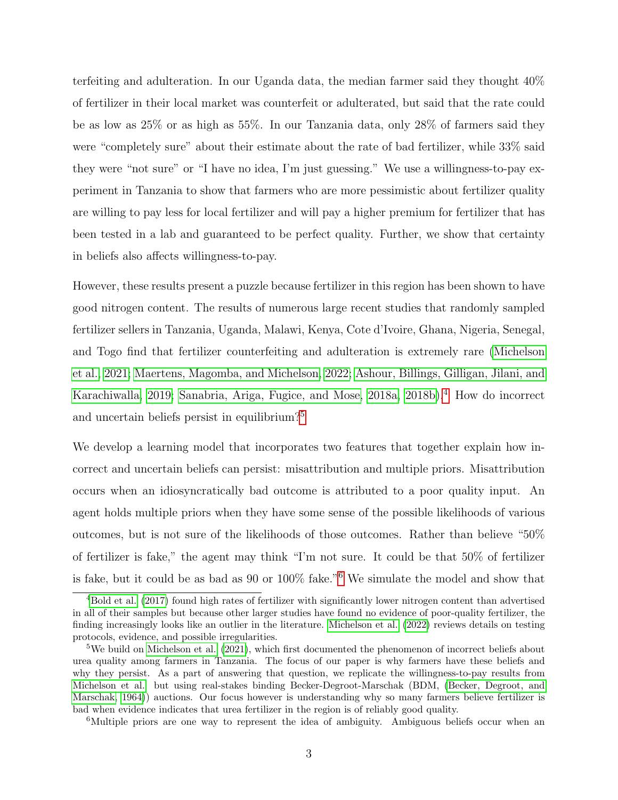terfeiting and adulteration. In our Uganda data, the median farmer said they thought 40% of fertilizer in their local market was counterfeit or adulterated, but said that the rate could be as low as 25% or as high as 55%. In our Tanzania data, only 28% of farmers said they were "completely sure" about their estimate about the rate of bad fertilizer, while 33% said they were "not sure" or "I have no idea, I'm just guessing." We use a willingness-to-pay experiment in Tanzania to show that farmers who are more pessimistic about fertilizer quality are willing to pay less for local fertilizer and will pay a higher premium for fertilizer that has been tested in a lab and guaranteed to be perfect quality. Further, we show that certainty in beliefs also affects willingness-to-pay.

However, these results present a puzzle because fertilizer in this region has been shown to have good nitrogen content. The results of numerous large recent studies that randomly sampled fertilizer sellers in Tanzania, Uganda, Malawi, Kenya, Cote d'Ivoire, Ghana, Nigeria, Senegal, and Togo find that fertilizer counterfeiting and adulteration is extremely rare [\(Michelson](#page-41-3) [et al., 2021;](#page-41-3) [Maertens, Magomba, and Michelson, 2022;](#page-41-5) [Ashour, Billings, Gilligan, Jilani, and](#page-38-4) [Karachiwalla, 2019;](#page-38-4) [Sanabria, Ariga, Fugice, and Mose, 2018a,](#page-41-6) [2018b\)](#page-41-7).[4](#page-2-0) How do incorrect and uncertain beliefs persist in equilibrium?[5](#page-2-1)

We develop a learning model that incorporates two features that together explain how incorrect and uncertain beliefs can persist: misattribution and multiple priors. Misattribution occurs when an idiosyncratically bad outcome is attributed to a poor quality input. An agent holds multiple priors when they have some sense of the possible likelihoods of various outcomes, but is not sure of the likelihoods of those outcomes. Rather than believe "50% of fertilizer is fake," the agent may think "I'm not sure. It could be that 50% of fertilizer is fake, but it could be as bad as 90 or 100% fake."[6](#page-2-2) We simulate the model and show that

<span id="page-2-2"></span><sup>6</sup>Multiple priors are one way to represent the idea of ambiguity. Ambiguous beliefs occur when an

<span id="page-2-0"></span><sup>4</sup>[Bold et al.](#page-38-2) [\(2017\)](#page-38-2) found high rates of fertilizer with significantly lower nitrogen content than advertised in all of their samples but because other larger studies have found no evidence of poor-quality fertilizer, the finding increasingly looks like an outlier in the literature. [Michelson et al.](#page-41-4) [\(2022\)](#page-41-4) reviews details on testing protocols, evidence, and possible irregularities.

<span id="page-2-1"></span> $5$ We build on [Michelson et al.](#page-41-3) [\(2021\)](#page-41-3), which first documented the phenomenon of incorrect beliefs about urea quality among farmers in Tanzania. The focus of our paper is why farmers have these beliefs and why they persist. As a part of answering that question, we replicate the willingness-to-pay results from [Michelson et al.](#page-41-3) but using real-stakes binding Becker-Degroot-Marschak (BDM, [\(Becker, Degroot, and](#page-38-5) [Marschak, 1964\)](#page-38-5)) auctions. Our focus however is understanding why so many farmers believe fertilizer is bad when evidence indicates that urea fertilizer in the region is of reliably good quality.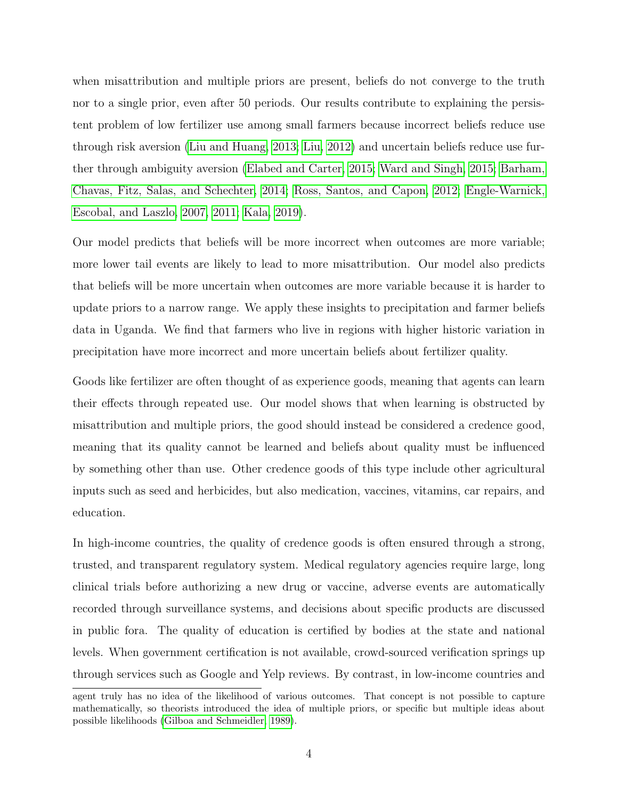when misattribution and multiple priors are present, beliefs do not converge to the truth nor to a single prior, even after 50 periods. Our results contribute to explaining the persistent problem of low fertilizer use among small farmers because incorrect beliefs reduce use through risk aversion [\(Liu and Huang, 2013;](#page-40-4) [Liu, 2012\)](#page-40-5) and uncertain beliefs reduce use further through ambiguity aversion [\(Elabed and Carter, 2015;](#page-39-4) [Ward and Singh, 2015;](#page-42-1) [Barham,](#page-38-6) [Chavas, Fitz, Salas, and Schechter, 2014;](#page-38-6) [Ross, Santos, and Capon, 2012;](#page-41-8) [Engle-Warnick,](#page-39-5) [Escobal, and Laszlo, 2007,](#page-39-5) [2011;](#page-39-6) [Kala, 2019\)](#page-40-6).

Our model predicts that beliefs will be more incorrect when outcomes are more variable; more lower tail events are likely to lead to more misattribution. Our model also predicts that beliefs will be more uncertain when outcomes are more variable because it is harder to update priors to a narrow range. We apply these insights to precipitation and farmer beliefs data in Uganda. We find that farmers who live in regions with higher historic variation in precipitation have more incorrect and more uncertain beliefs about fertilizer quality.

Goods like fertilizer are often thought of as experience goods, meaning that agents can learn their effects through repeated use. Our model shows that when learning is obstructed by misattribution and multiple priors, the good should instead be considered a credence good, meaning that its quality cannot be learned and beliefs about quality must be influenced by something other than use. Other credence goods of this type include other agricultural inputs such as seed and herbicides, but also medication, vaccines, vitamins, car repairs, and education.

In high-income countries, the quality of credence goods is often ensured through a strong, trusted, and transparent regulatory system. Medical regulatory agencies require large, long clinical trials before authorizing a new drug or vaccine, adverse events are automatically recorded through surveillance systems, and decisions about specific products are discussed in public fora. The quality of education is certified by bodies at the state and national levels. When government certification is not available, crowd-sourced verification springs up through services such as Google and Yelp reviews. By contrast, in low-income countries and

agent truly has no idea of the likelihood of various outcomes. That concept is not possible to capture mathematically, so theorists introduced the idea of multiple priors, or specific but multiple ideas about possible likelihoods [\(Gilboa and Schmeidler, 1989\)](#page-40-7).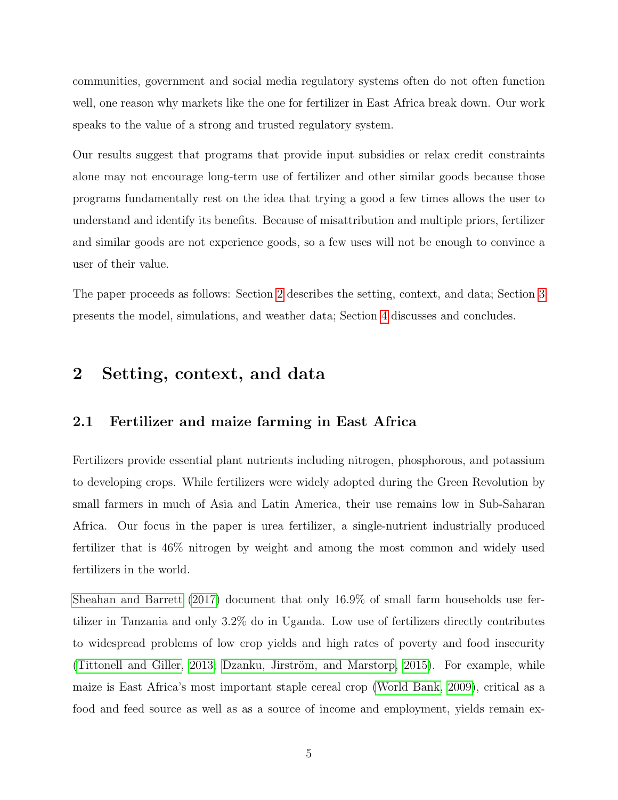communities, government and social media regulatory systems often do not often function well, one reason why markets like the one for fertilizer in East Africa break down. Our work speaks to the value of a strong and trusted regulatory system.

Our results suggest that programs that provide input subsidies or relax credit constraints alone may not encourage long-term use of fertilizer and other similar goods because those programs fundamentally rest on the idea that trying a good a few times allows the user to understand and identify its benefits. Because of misattribution and multiple priors, fertilizer and similar goods are not experience goods, so a few uses will not be enough to convince a user of their value.

The paper proceeds as follows: Section [2](#page-4-0) describes the setting, context, and data; Section [3](#page-22-0) presents the model, simulations, and weather data; Section [4](#page-34-0) discusses and concludes.

### <span id="page-4-0"></span>2 Setting, context, and data

### 2.1 Fertilizer and maize farming in East Africa

Fertilizers provide essential plant nutrients including nitrogen, phosphorous, and potassium to developing crops. While fertilizers were widely adopted during the Green Revolution by small farmers in much of Asia and Latin America, their use remains low in Sub-Saharan Africa. Our focus in the paper is urea fertilizer, a single-nutrient industrially produced fertilizer that is 46% nitrogen by weight and among the most common and widely used fertilizers in the world.

[Sheahan and Barrett \(2017\)](#page-41-9) document that only 16.9% of small farm households use fertilizer in Tanzania and only 3.2% do in Uganda. Low use of fertilizers directly contributes to widespread problems of low crop yields and high rates of poverty and food insecurity [\(Tittonell and Giller, 2013;](#page-42-2) Dzanku, Jirström, and Marstorp, 2015). For example, while maize is East Africa's most important staple cereal crop [\(World Bank, 2009\)](#page-42-3), critical as a food and feed source as well as as a source of income and employment, yields remain ex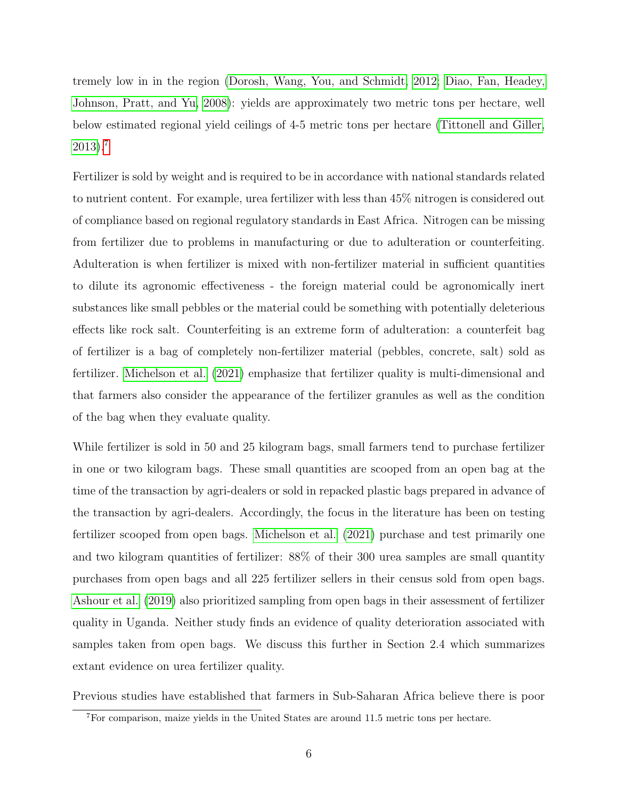tremely low in in the region [\(Dorosh, Wang, You, and Schmidt, 2012;](#page-39-8) [Diao, Fan, Headey,](#page-39-9) [Johnson, Pratt, and Yu, 2008\)](#page-39-9): yields are approximately two metric tons per hectare, well below estimated regional yield ceilings of 4-5 metric tons per hectare [\(Tittonell and Giller,](#page-42-2) [2013\)](#page-42-2).[7](#page-5-0)

Fertilizer is sold by weight and is required to be in accordance with national standards related to nutrient content. For example, urea fertilizer with less than 45% nitrogen is considered out of compliance based on regional regulatory standards in East Africa. Nitrogen can be missing from fertilizer due to problems in manufacturing or due to adulteration or counterfeiting. Adulteration is when fertilizer is mixed with non-fertilizer material in sufficient quantities to dilute its agronomic effectiveness - the foreign material could be agronomically inert substances like small pebbles or the material could be something with potentially deleterious effects like rock salt. Counterfeiting is an extreme form of adulteration: a counterfeit bag of fertilizer is a bag of completely non-fertilizer material (pebbles, concrete, salt) sold as fertilizer. [Michelson et al. \(2021\)](#page-41-3) emphasize that fertilizer quality is multi-dimensional and that farmers also consider the appearance of the fertilizer granules as well as the condition of the bag when they evaluate quality.

While fertilizer is sold in 50 and 25 kilogram bags, small farmers tend to purchase fertilizer in one or two kilogram bags. These small quantities are scooped from an open bag at the time of the transaction by agri-dealers or sold in repacked plastic bags prepared in advance of the transaction by agri-dealers. Accordingly, the focus in the literature has been on testing fertilizer scooped from open bags. [Michelson et al. \(2021\)](#page-41-3) purchase and test primarily one and two kilogram quantities of fertilizer: 88% of their 300 urea samples are small quantity purchases from open bags and all 225 fertilizer sellers in their census sold from open bags. [Ashour et al. \(2019\)](#page-38-4) also prioritized sampling from open bags in their assessment of fertilizer quality in Uganda. Neither study finds an evidence of quality deterioration associated with samples taken from open bags. We discuss this further in Section 2.4 which summarizes extant evidence on urea fertilizer quality.

Previous studies have established that farmers in Sub-Saharan Africa believe there is poor

<span id="page-5-0"></span><sup>7</sup>For comparison, maize yields in the United States are around 11.5 metric tons per hectare.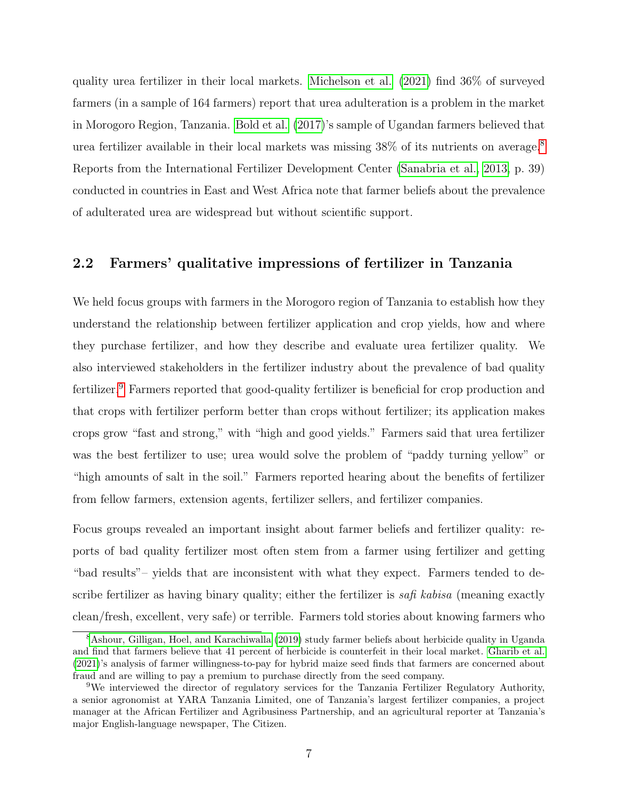quality urea fertilizer in their local markets. [Michelson et al. \(2021\)](#page-41-3) find 36% of surveyed farmers (in a sample of 164 farmers) report that urea adulteration is a problem in the market in Morogoro Region, Tanzania. [Bold et al. \(2017\)](#page-38-2)'s sample of Ugandan farmers believed that urea fertilizer available in their local markets was missing 38% of its nutrients on average.[8](#page-6-0) Reports from the International Fertilizer Development Center [\(Sanabria et al., 2013,](#page-41-2) p. 39) conducted in countries in East and West Africa note that farmer beliefs about the prevalence of adulterated urea are widespread but without scientific support.

### 2.2 Farmers' qualitative impressions of fertilizer in Tanzania

We held focus groups with farmers in the Morogoro region of Tanzania to establish how they understand the relationship between fertilizer application and crop yields, how and where they purchase fertilizer, and how they describe and evaluate urea fertilizer quality. We also interviewed stakeholders in the fertilizer industry about the prevalence of bad quality fertilizer.[9](#page-6-1) Farmers reported that good-quality fertilizer is beneficial for crop production and that crops with fertilizer perform better than crops without fertilizer; its application makes crops grow "fast and strong," with "high and good yields." Farmers said that urea fertilizer was the best fertilizer to use; urea would solve the problem of "paddy turning yellow" or "high amounts of salt in the soil." Farmers reported hearing about the benefits of fertilizer from fellow farmers, extension agents, fertilizer sellers, and fertilizer companies.

Focus groups revealed an important insight about farmer beliefs and fertilizer quality: reports of bad quality fertilizer most often stem from a farmer using fertilizer and getting "bad results"– yields that are inconsistent with what they expect. Farmers tended to describe fertilizer as having binary quality; either the fertilizer is  $safi$  kabisa (meaning exactly clean/fresh, excellent, very safe) or terrible. Farmers told stories about knowing farmers who

<span id="page-6-0"></span><sup>8</sup>[Ashour, Gilligan, Hoel, and Karachiwalla](#page-38-7) [\(2019\)](#page-38-7) study farmer beliefs about herbicide quality in Uganda and find that farmers believe that 41 percent of herbicide is counterfeit in their local market. [Gharib et al.](#page-40-3) [\(2021\)](#page-40-3)'s analysis of farmer willingness-to-pay for hybrid maize seed finds that farmers are concerned about fraud and are willing to pay a premium to purchase directly from the seed company.

<span id="page-6-1"></span><sup>9</sup>We interviewed the director of regulatory services for the Tanzania Fertilizer Regulatory Authority, a senior agronomist at YARA Tanzania Limited, one of Tanzania's largest fertilizer companies, a project manager at the African Fertilizer and Agribusiness Partnership, and an agricultural reporter at Tanzania's major English-language newspaper, The Citizen.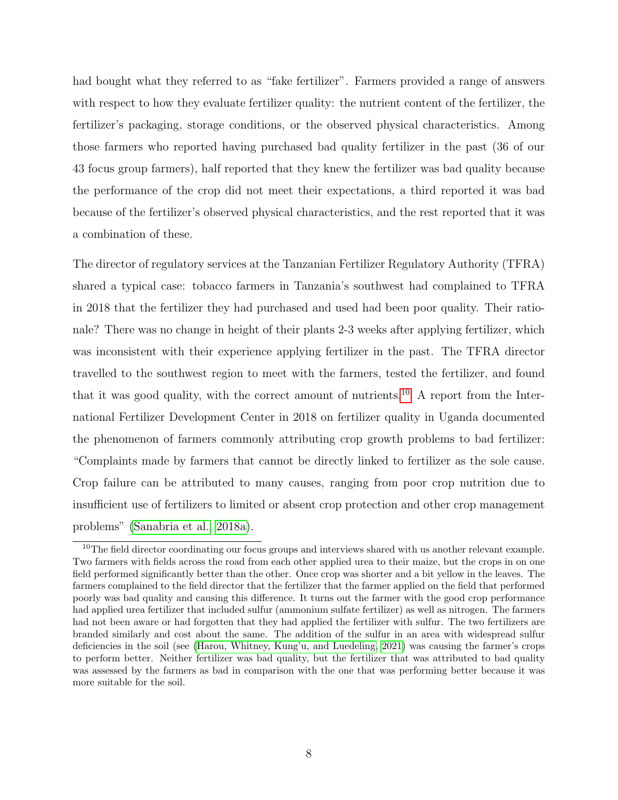had bought what they referred to as "fake fertilizer". Farmers provided a range of answers with respect to how they evaluate fertilizer quality: the nutrient content of the fertilizer, the fertilizer's packaging, storage conditions, or the observed physical characteristics. Among those farmers who reported having purchased bad quality fertilizer in the past (36 of our 43 focus group farmers), half reported that they knew the fertilizer was bad quality because the performance of the crop did not meet their expectations, a third reported it was bad because of the fertilizer's observed physical characteristics, and the rest reported that it was a combination of these.

The director of regulatory services at the Tanzanian Fertilizer Regulatory Authority (TFRA) shared a typical case: tobacco farmers in Tanzania's southwest had complained to TFRA in 2018 that the fertilizer they had purchased and used had been poor quality. Their rationale? There was no change in height of their plants 2-3 weeks after applying fertilizer, which was inconsistent with their experience applying fertilizer in the past. The TFRA director travelled to the southwest region to meet with the farmers, tested the fertilizer, and found that it was good quality, with the correct amount of nutrients.<sup>[10](#page-7-0)</sup> A report from the International Fertilizer Development Center in 2018 on fertilizer quality in Uganda documented the phenomenon of farmers commonly attributing crop growth problems to bad fertilizer: "Complaints made by farmers that cannot be directly linked to fertilizer as the sole cause. Crop failure can be attributed to many causes, ranging from poor crop nutrition due to insufficient use of fertilizers to limited or absent crop protection and other crop management problems" [\(Sanabria et al., 2018a\)](#page-41-6).

<span id="page-7-0"></span> $10$ The field director coordinating our focus groups and interviews shared with us another relevant example. Two farmers with fields across the road from each other applied urea to their maize, but the crops in on one field performed significantly better than the other. Once crop was shorter and a bit yellow in the leaves. The farmers complained to the field director that the fertilizer that the farmer applied on the field that performed poorly was bad quality and causing this difference. It turns out the farmer with the good crop performance had applied urea fertilizer that included sulfur (ammonium sulfate fertilizer) as well as nitrogen. The farmers had not been aware or had forgotten that they had applied the fertilizer with sulfur. The two fertilizers are branded similarly and cost about the same. The addition of the sulfur in an area with widespread sulfur deficiencies in the soil (see [\(Harou, Whitney, Kung'u, and Luedeling, 2021\)](#page-40-8) was causing the farmer's crops to perform better. Neither fertilizer was bad quality, but the fertilizer that was attributed to bad quality was assessed by the farmers as bad in comparison with the one that was performing better because it was more suitable for the soil.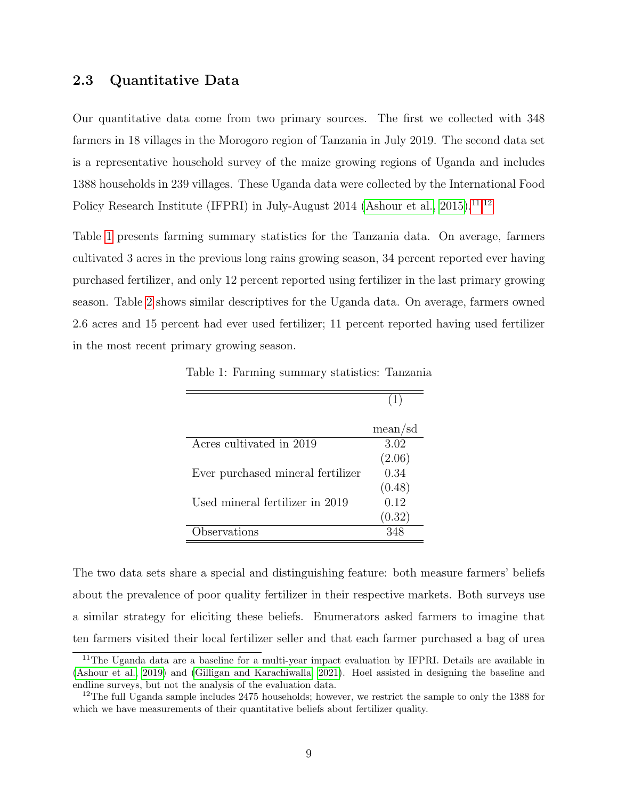### 2.3 Quantitative Data

Our quantitative data come from two primary sources. The first we collected with 348 farmers in 18 villages in the Morogoro region of Tanzania in July 2019. The second data set is a representative household survey of the maize growing regions of Uganda and includes 1388 households in 239 villages. These Uganda data were collected by the International Food Policy Research Institute (IFPRI) in July-August 2014 [\(Ashour et al., 2015\)](#page-38-3).<sup>[11,](#page-8-0)[12](#page-8-1)</sup>

Table [1](#page-8-2) presents farming summary statistics for the Tanzania data. On average, farmers cultivated 3 acres in the previous long rains growing season, 34 percent reported ever having purchased fertilizer, and only 12 percent reported using fertilizer in the last primary growing season. Table [2](#page-9-0) shows similar descriptives for the Uganda data. On average, farmers owned 2.6 acres and 15 percent had ever used fertilizer; 11 percent reported having used fertilizer in the most recent primary growing season.

<span id="page-8-2"></span>Table 1: Farming summary statistics: Tanzania

|                                   | (1)     |
|-----------------------------------|---------|
|                                   |         |
|                                   | mean/sd |
| Acres cultivated in 2019          | 3.02    |
|                                   | (2.06)  |
| Ever purchased mineral fertilizer | 0.34    |
|                                   | (0.48)  |
| Used mineral fertilizer in 2019   | 0.12    |
|                                   | (0.32)  |
| bservations                       |         |

The two data sets share a special and distinguishing feature: both measure farmers' beliefs about the prevalence of poor quality fertilizer in their respective markets. Both surveys use a similar strategy for eliciting these beliefs. Enumerators asked farmers to imagine that ten farmers visited their local fertilizer seller and that each farmer purchased a bag of urea

<span id="page-8-0"></span><sup>&</sup>lt;sup>11</sup>The Uganda data are a baseline for a multi-year impact evaluation by IFPRI. Details are available in [\(Ashour et al., 2019\)](#page-38-4) and [\(Gilligan and Karachiwalla, 2021\)](#page-40-9). Hoel assisted in designing the baseline and endline surveys, but not the analysis of the evaluation data.

<span id="page-8-1"></span><sup>&</sup>lt;sup>12</sup>The full Uganda sample includes  $2475$  households; however, we restrict the sample to only the 1388 for which we have measurements of their quantitative beliefs about fertilizer quality.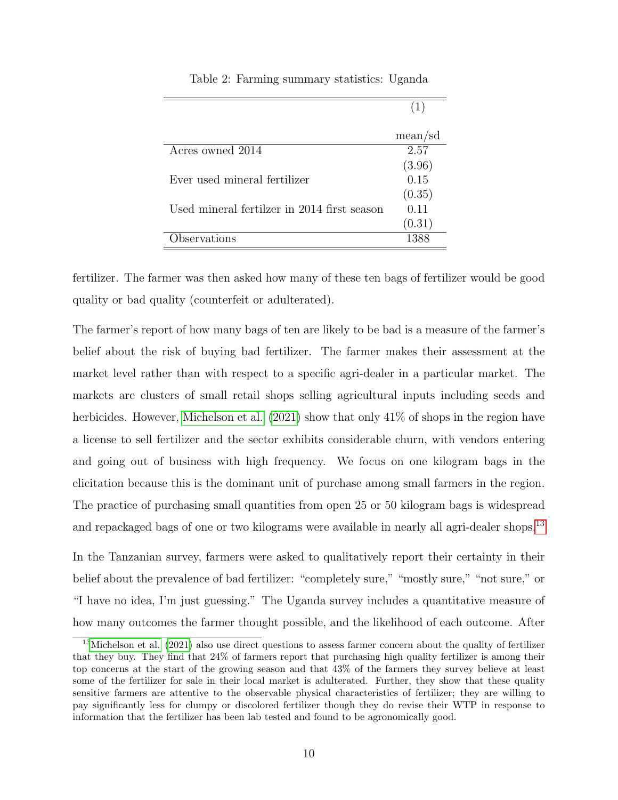<span id="page-9-0"></span>

|                                             | mean/sd |
|---------------------------------------------|---------|
| Acres owned 2014                            | 2.57    |
|                                             | (3.96)  |
| Ever used mineral fertilizer                | 0.15    |
|                                             | (0.35)  |
| Used mineral fertilzer in 2014 first season | 0.11    |
|                                             | (0.31)  |
| Observations                                | 1388    |

Table 2: Farming summary statistics: Uganda

fertilizer. The farmer was then asked how many of these ten bags of fertilizer would be good quality or bad quality (counterfeit or adulterated).

The farmer's report of how many bags of ten are likely to be bad is a measure of the farmer's belief about the risk of buying bad fertilizer. The farmer makes their assessment at the market level rather than with respect to a specific agri-dealer in a particular market. The markets are clusters of small retail shops selling agricultural inputs including seeds and herbicides. However, [Michelson et al. \(2021\)](#page-41-3) show that only 41% of shops in the region have a license to sell fertilizer and the sector exhibits considerable churn, with vendors entering and going out of business with high frequency. We focus on one kilogram bags in the elicitation because this is the dominant unit of purchase among small farmers in the region. The practice of purchasing small quantities from open 25 or 50 kilogram bags is widespread and repackaged bags of one or two kilograms were available in nearly all agri-dealer shops.<sup>[13](#page-9-1)</sup>

In the Tanzanian survey, farmers were asked to qualitatively report their certainty in their belief about the prevalence of bad fertilizer: "completely sure," "mostly sure," "not sure," or "I have no idea, I'm just guessing." The Uganda survey includes a quantitative measure of how many outcomes the farmer thought possible, and the likelihood of each outcome. After

<span id="page-9-1"></span><sup>&</sup>lt;sup>13</sup>[Michelson et al.](#page-41-3) [\(2021\)](#page-41-3) also use direct questions to assess farmer concern about the quality of fertilizer that they buy. They find that 24% of farmers report that purchasing high quality fertilizer is among their top concerns at the start of the growing season and that 43% of the farmers they survey believe at least some of the fertilizer for sale in their local market is adulterated. Further, they show that these quality sensitive farmers are attentive to the observable physical characteristics of fertilizer; they are willing to pay significantly less for clumpy or discolored fertilizer though they do revise their WTP in response to information that the fertilizer has been lab tested and found to be agronomically good.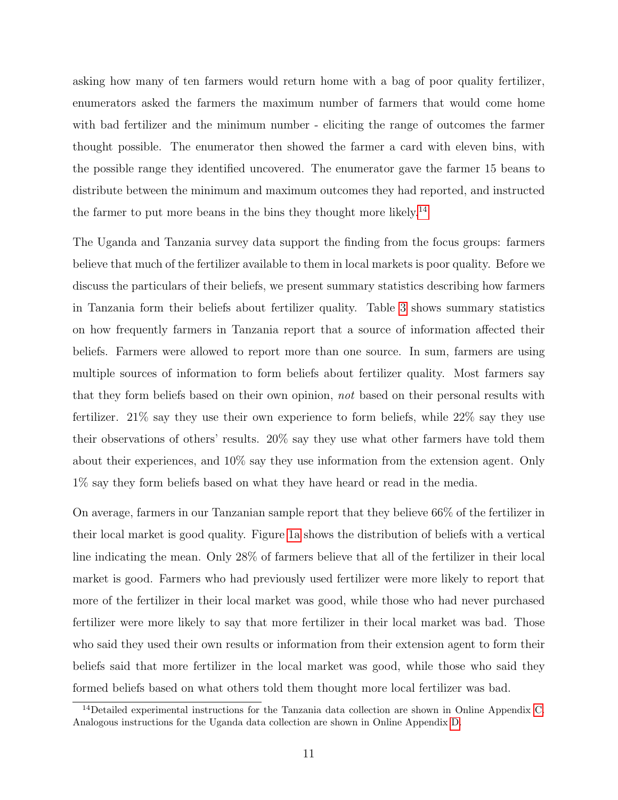asking how many of ten farmers would return home with a bag of poor quality fertilizer, enumerators asked the farmers the maximum number of farmers that would come home with bad fertilizer and the minimum number - eliciting the range of outcomes the farmer thought possible. The enumerator then showed the farmer a card with eleven bins, with the possible range they identified uncovered. The enumerator gave the farmer 15 beans to distribute between the minimum and maximum outcomes they had reported, and instructed the farmer to put more beans in the bins they thought more likely.<sup>[14](#page-10-0)</sup>

The Uganda and Tanzania survey data support the finding from the focus groups: farmers believe that much of the fertilizer available to them in local markets is poor quality. Before we discuss the particulars of their beliefs, we present summary statistics describing how farmers in Tanzania form their beliefs about fertilizer quality. Table [3](#page-12-0) shows summary statistics on how frequently farmers in Tanzania report that a source of information affected their beliefs. Farmers were allowed to report more than one source. In sum, farmers are using multiple sources of information to form beliefs about fertilizer quality. Most farmers say that they form beliefs based on their own opinion, not based on their personal results with fertilizer. 21% say they use their own experience to form beliefs, while 22% say they use their observations of others' results. 20% say they use what other farmers have told them about their experiences, and 10% say they use information from the extension agent. Only 1% say they form beliefs based on what they have heard or read in the media.

On average, farmers in our Tanzanian sample report that they believe 66% of the fertilizer in their local market is good quality. Figure [1a](#page-11-0) shows the distribution of beliefs with a vertical line indicating the mean. Only 28% of farmers believe that all of the fertilizer in their local market is good. Farmers who had previously used fertilizer were more likely to report that more of the fertilizer in their local market was good, while those who had never purchased fertilizer were more likely to say that more fertilizer in their local market was bad. Those who said they used their own results or information from their extension agent to form their beliefs said that more fertilizer in the local market was good, while those who said they formed beliefs based on what others told them thought more local fertilizer was bad.

<span id="page-10-0"></span><sup>&</sup>lt;sup>14</sup>Detailed experimental instructions for the Tanzania data collection are shown in Online Appendix [C.](#page-47-0) Analogous instructions for the Uganda data collection are shown in Online Appendix [D.](#page-54-0)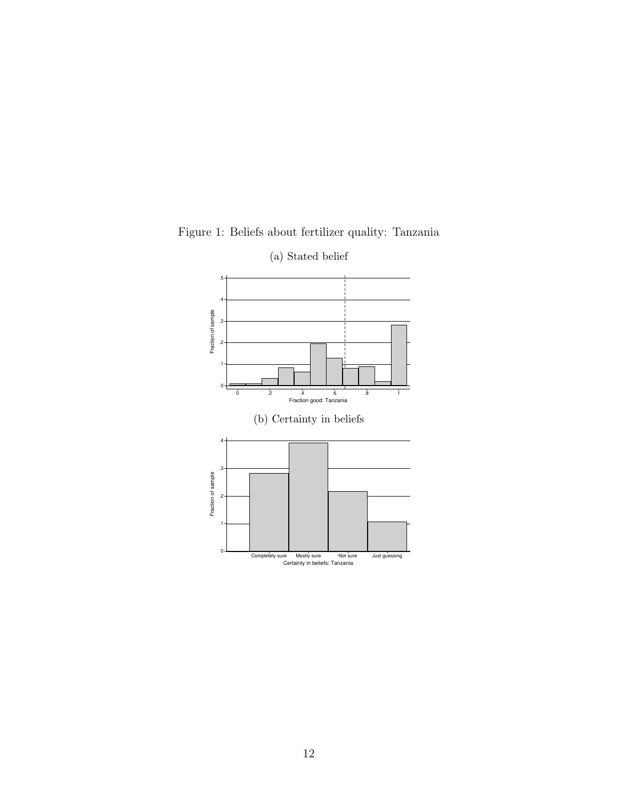

<span id="page-11-0"></span>Figure 1: Beliefs about fertilizer quality: Tanzania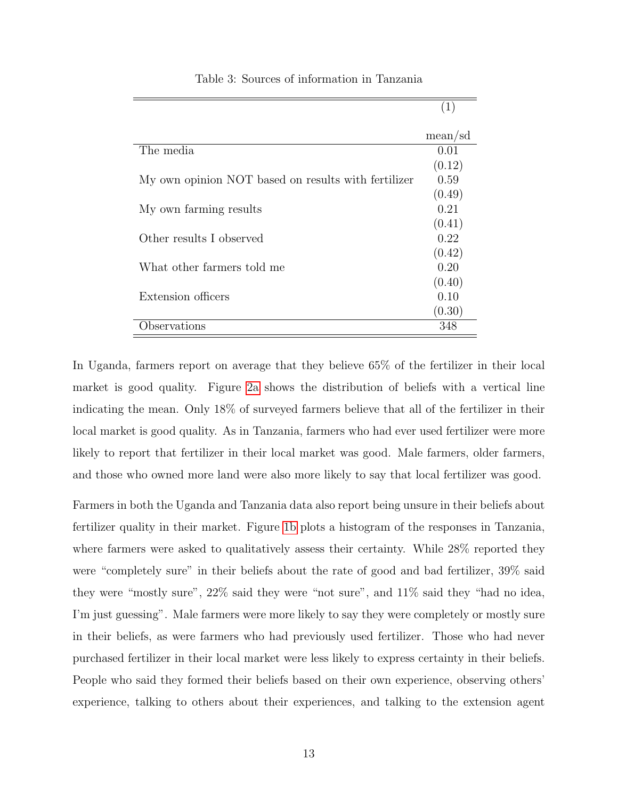<span id="page-12-0"></span>

|                                                     | mean/sd |
|-----------------------------------------------------|---------|
| The media                                           | 0.01    |
|                                                     | (0.12)  |
| My own opinion NOT based on results with fertilizer | 0.59    |
|                                                     | (0.49)  |
| My own farming results                              | 0.21    |
|                                                     | (0.41)  |
| Other results I observed                            | 0.22    |
|                                                     | (0.42)  |
| What other farmers told me                          | 0.20    |
|                                                     | (0.40)  |
| Extension officers                                  | 0.10    |
|                                                     | (0.30)  |
| Observations                                        | 348     |

Table 3: Sources of information in Tanzania

(1)

In Uganda, farmers report on average that they believe 65% of the fertilizer in their local market is good quality. Figure [2a](#page-13-0) shows the distribution of beliefs with a vertical line indicating the mean. Only 18% of surveyed farmers believe that all of the fertilizer in their local market is good quality. As in Tanzania, farmers who had ever used fertilizer were more likely to report that fertilizer in their local market was good. Male farmers, older farmers, and those who owned more land were also more likely to say that local fertilizer was good.

Farmers in both the Uganda and Tanzania data also report being unsure in their beliefs about fertilizer quality in their market. Figure [1b](#page-11-0) plots a histogram of the responses in Tanzania, where farmers were asked to qualitatively assess their certainty. While 28% reported they were "completely sure" in their beliefs about the rate of good and bad fertilizer, 39% said they were "mostly sure", 22% said they were "not sure", and 11% said they "had no idea, I'm just guessing". Male farmers were more likely to say they were completely or mostly sure in their beliefs, as were farmers who had previously used fertilizer. Those who had never purchased fertilizer in their local market were less likely to express certainty in their beliefs. People who said they formed their beliefs based on their own experience, observing others' experience, talking to others about their experiences, and talking to the extension agent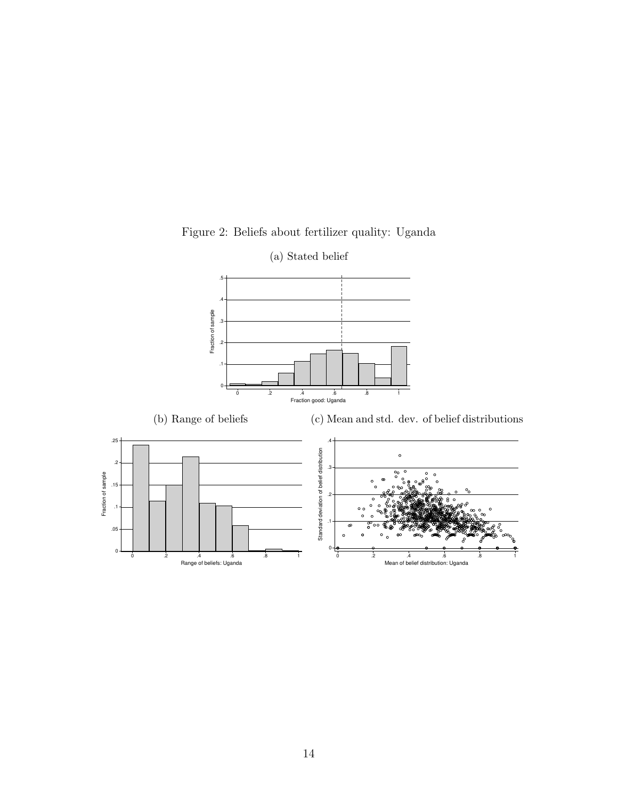<span id="page-13-0"></span>

Figure 2: Beliefs about fertilizer quality: Uganda

(a) Stated belief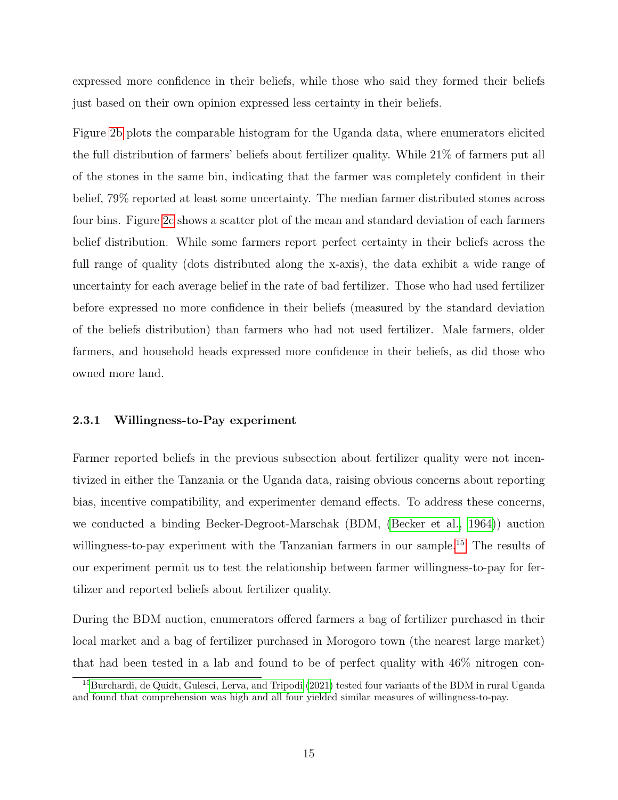expressed more confidence in their beliefs, while those who said they formed their beliefs just based on their own opinion expressed less certainty in their beliefs.

Figure [2b](#page-13-0) plots the comparable histogram for the Uganda data, where enumerators elicited the full distribution of farmers' beliefs about fertilizer quality. While 21% of farmers put all of the stones in the same bin, indicating that the farmer was completely confident in their belief, 79% reported at least some uncertainty. The median farmer distributed stones across four bins. Figure [2c](#page-13-0) shows a scatter plot of the mean and standard deviation of each farmers belief distribution. While some farmers report perfect certainty in their beliefs across the full range of quality (dots distributed along the x-axis), the data exhibit a wide range of uncertainty for each average belief in the rate of bad fertilizer. Those who had used fertilizer before expressed no more confidence in their beliefs (measured by the standard deviation of the beliefs distribution) than farmers who had not used fertilizer. Male farmers, older farmers, and household heads expressed more confidence in their beliefs, as did those who owned more land.

#### 2.3.1 Willingness-to-Pay experiment

Farmer reported beliefs in the previous subsection about fertilizer quality were not incentivized in either the Tanzania or the Uganda data, raising obvious concerns about reporting bias, incentive compatibility, and experimenter demand effects. To address these concerns, we conducted a binding Becker-Degroot-Marschak (BDM, [\(Becker et al., 1964\)](#page-38-5)) auction willingness-to-pay experiment with the Tanzanian farmers in our sample.<sup>[15](#page-14-0)</sup> The results of our experiment permit us to test the relationship between farmer willingness-to-pay for fertilizer and reported beliefs about fertilizer quality.

During the BDM auction, enumerators offered farmers a bag of fertilizer purchased in their local market and a bag of fertilizer purchased in Morogoro town (the nearest large market) that had been tested in a lab and found to be of perfect quality with 46% nitrogen con-

<span id="page-14-0"></span><sup>&</sup>lt;sup>15</sup>[Burchardi, de Quidt, Gulesci, Lerva, and Tripodi](#page-38-8) [\(2021\)](#page-38-8) tested four variants of the BDM in rural Uganda and found that comprehension was high and all four yielded similar measures of willingness-to-pay.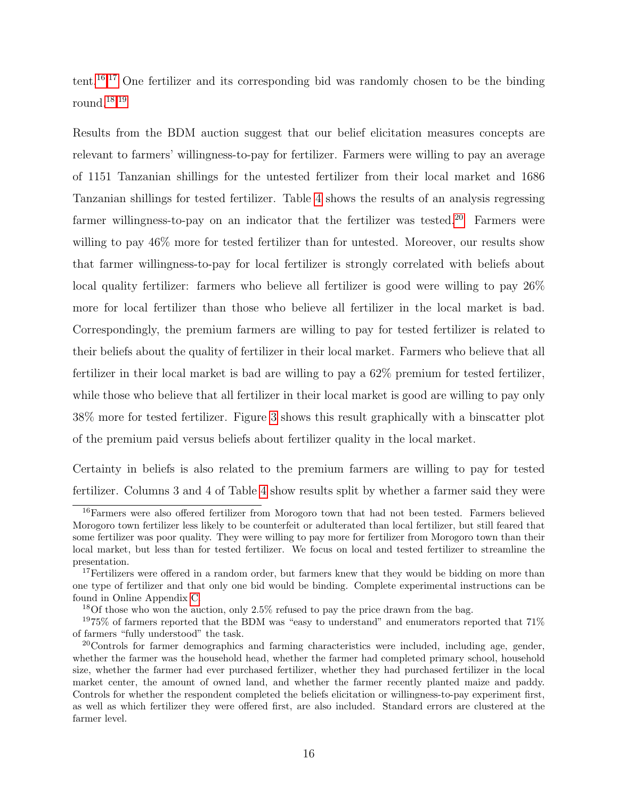tent.[16,](#page-15-0)[17](#page-15-1) One fertilizer and its corresponding bid was randomly chosen to be the binding round.[18,](#page-15-2)[19](#page-15-3)

Results from the BDM auction suggest that our belief elicitation measures concepts are relevant to farmers' willingness-to-pay for fertilizer. Farmers were willing to pay an average of 1151 Tanzanian shillings for the untested fertilizer from their local market and 1686 Tanzanian shillings for tested fertilizer. Table [4](#page-17-0) shows the results of an analysis regressing farmer willingness-to-pay on an indicator that the fertilizer was tested.<sup>[20](#page-15-4)</sup> Farmers were willing to pay  $46\%$  more for tested fertilizer than for untested. Moreover, our results show that farmer willingness-to-pay for local fertilizer is strongly correlated with beliefs about local quality fertilizer: farmers who believe all fertilizer is good were willing to pay 26% more for local fertilizer than those who believe all fertilizer in the local market is bad. Correspondingly, the premium farmers are willing to pay for tested fertilizer is related to their beliefs about the quality of fertilizer in their local market. Farmers who believe that all fertilizer in their local market is bad are willing to pay a 62% premium for tested fertilizer, while those who believe that all fertilizer in their local market is good are willing to pay only 38% more for tested fertilizer. Figure [3](#page-16-0) shows this result graphically with a binscatter plot of the premium paid versus beliefs about fertilizer quality in the local market.

Certainty in beliefs is also related to the premium farmers are willing to pay for tested fertilizer. Columns 3 and 4 of Table [4](#page-17-0) show results split by whether a farmer said they were

<span id="page-15-0"></span><sup>16</sup>Farmers were also offered fertilizer from Morogoro town that had not been tested. Farmers believed Morogoro town fertilizer less likely to be counterfeit or adulterated than local fertilizer, but still feared that some fertilizer was poor quality. They were willing to pay more for fertilizer from Morogoro town than their local market, but less than for tested fertilizer. We focus on local and tested fertilizer to streamline the presentation.

<span id="page-15-1"></span><sup>&</sup>lt;sup>17</sup>Fertilizers were offered in a random order, but farmers knew that they would be bidding on more than one type of fertilizer and that only one bid would be binding. Complete experimental instructions can be found in Online Appendix [C.](#page-47-0)

<span id="page-15-3"></span><span id="page-15-2"></span><sup>&</sup>lt;sup>18</sup>Of those who won the auction, only  $2.5\%$  refused to pay the price drawn from the bag.

 $1975\%$  of farmers reported that the BDM was "easy to understand" and enumerators reported that  $71\%$ of farmers "fully understood" the task.

<span id="page-15-4"></span><sup>20</sup>Controls for farmer demographics and farming characteristics were included, including age, gender, whether the farmer was the household head, whether the farmer had completed primary school, household size, whether the farmer had ever purchased fertilizer, whether they had purchased fertilizer in the local market center, the amount of owned land, and whether the farmer recently planted maize and paddy. Controls for whether the respondent completed the beliefs elicitation or willingness-to-pay experiment first, as well as which fertilizer they were offered first, are also included. Standard errors are clustered at the farmer level.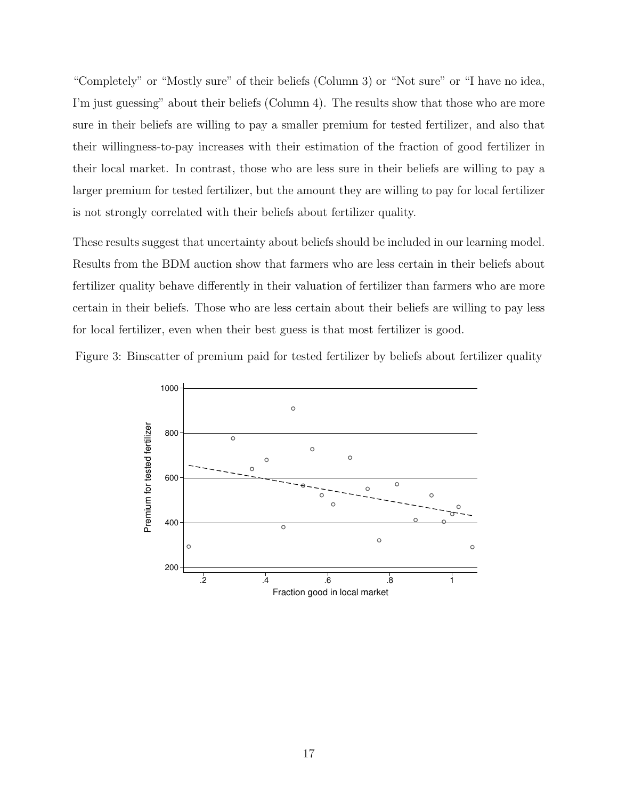"Completely" or "Mostly sure" of their beliefs (Column 3) or "Not sure" or "I have no idea, I'm just guessing" about their beliefs (Column 4). The results show that those who are more sure in their beliefs are willing to pay a smaller premium for tested fertilizer, and also that their willingness-to-pay increases with their estimation of the fraction of good fertilizer in their local market. In contrast, those who are less sure in their beliefs are willing to pay a larger premium for tested fertilizer, but the amount they are willing to pay for local fertilizer is not strongly correlated with their beliefs about fertilizer quality.

These results suggest that uncertainty about beliefs should be included in our learning model. Results from the BDM auction show that farmers who are less certain in their beliefs about fertilizer quality behave differently in their valuation of fertilizer than farmers who are more certain in their beliefs. Those who are less certain about their beliefs are willing to pay less for local fertilizer, even when their best guess is that most fertilizer is good.

<span id="page-16-0"></span>

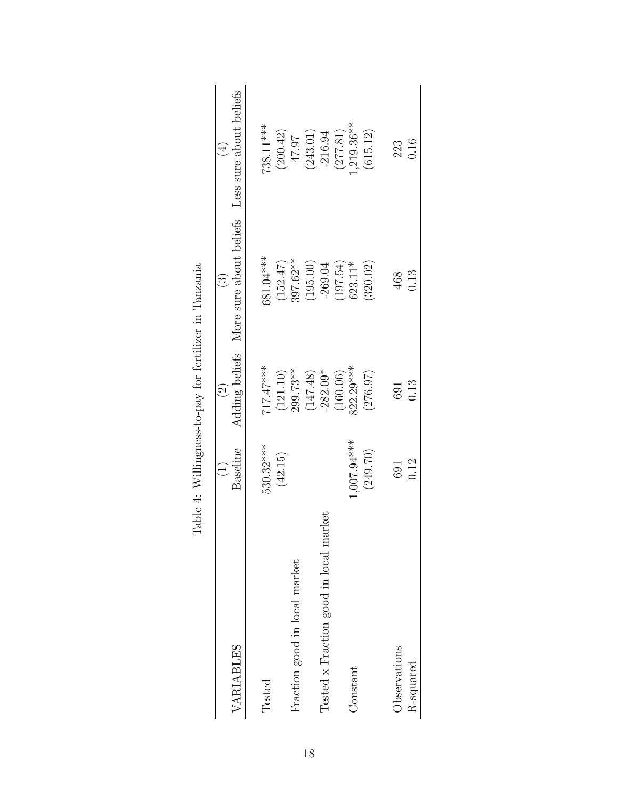<span id="page-17-0"></span>

|                                        |               | $\widehat{\odot}$        | $\widehat{\Xi}$         | $(\pm)$                                                           |
|----------------------------------------|---------------|--------------------------|-------------------------|-------------------------------------------------------------------|
| VARIABLES                              | Baseline      | Adding beliefs           | More sure about beliefs | Less sure about beliefs                                           |
| Tested                                 | 530.32***     | $717.47***$              | 581.04***               | 738.11***                                                         |
|                                        | (42.15)       | $(121.10)$<br>$299.73**$ | $(152.47)$<br>397.62**  | (200.42)                                                          |
| Fraction good in local market          |               |                          |                         | 10.74                                                             |
|                                        |               | $(147.48)$<br>$-282.09*$ | (195.00)                |                                                                   |
| Tested x Fraction good in local market |               |                          | $-269.04$               | $(243.01)$<br>-216.94                                             |
|                                        |               | (160.06)                 |                         |                                                                   |
| Constant                               | $+***66.7007$ | 322.29***                | $(197.54)$<br>$623.11*$ |                                                                   |
|                                        | (249.70)      | (276.97)                 | (320.02)                | $\begin{array}{c} (277.81) \\ 1,219.36** \\ (615.12) \end{array}$ |
| Observations                           | 691           | 691                      | 468                     | 223<br>0.16                                                       |
| R-squared                              | 0.12          | 0.13                     | 0.13                    |                                                                   |
|                                        |               |                          |                         |                                                                   |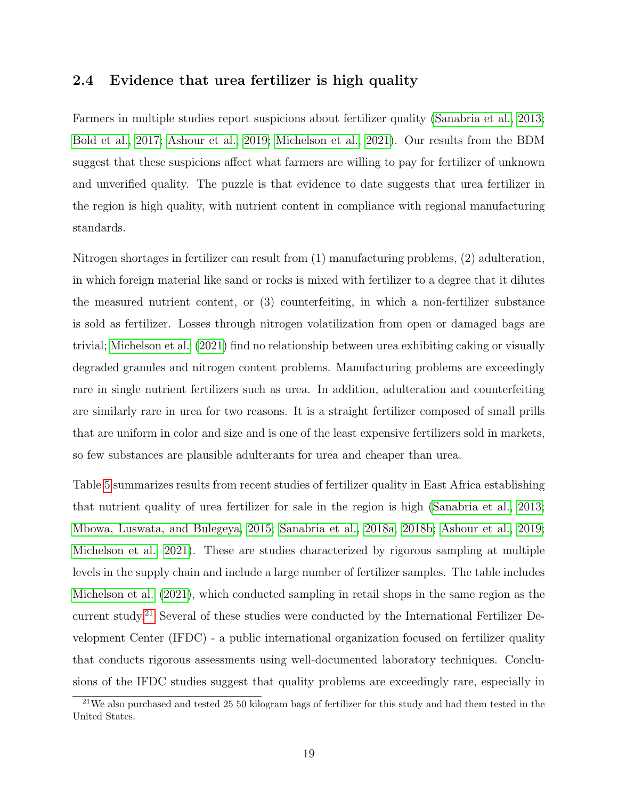### <span id="page-18-0"></span>2.4 Evidence that urea fertilizer is high quality

Farmers in multiple studies report suspicions about fertilizer quality [\(Sanabria et al., 2013;](#page-41-2) [Bold et al., 2017;](#page-38-2) [Ashour et al., 2019;](#page-38-7) [Michelson et al., 2021\)](#page-41-3). Our results from the BDM suggest that these suspicions affect what farmers are willing to pay for fertilizer of unknown and unverified quality. The puzzle is that evidence to date suggests that urea fertilizer in the region is high quality, with nutrient content in compliance with regional manufacturing standards.

Nitrogen shortages in fertilizer can result from (1) manufacturing problems, (2) adulteration, in which foreign material like sand or rocks is mixed with fertilizer to a degree that it dilutes the measured nutrient content, or (3) counterfeiting, in which a non-fertilizer substance is sold as fertilizer. Losses through nitrogen volatilization from open or damaged bags are trivial; [Michelson et al. \(2021\)](#page-41-3) find no relationship between urea exhibiting caking or visually degraded granules and nitrogen content problems. Manufacturing problems are exceedingly rare in single nutrient fertilizers such as urea. In addition, adulteration and counterfeiting are similarly rare in urea for two reasons. It is a straight fertilizer composed of small prills that are uniform in color and size and is one of the least expensive fertilizers sold in markets, so few substances are plausible adulterants for urea and cheaper than urea.

Table [5](#page-21-0) summarizes results from recent studies of fertilizer quality in East Africa establishing that nutrient quality of urea fertilizer for sale in the region is high [\(Sanabria et al., 2013;](#page-41-2) [Mbowa, Luswata, and Bulegeya, 2015;](#page-41-10) [Sanabria et al., 2018a,](#page-41-6) [2018b;](#page-41-7) [Ashour et al., 2019;](#page-38-4) [Michelson et al., 2021\)](#page-41-3). These are studies characterized by rigorous sampling at multiple levels in the supply chain and include a large number of fertilizer samples. The table includes [Michelson et al. \(2021\)](#page-41-3), which conducted sampling in retail shops in the same region as the current study.[21](#page-18-1) Several of these studies were conducted by the International Fertilizer Development Center (IFDC) - a public international organization focused on fertilizer quality that conducts rigorous assessments using well-documented laboratory techniques. Conclusions of the IFDC studies suggest that quality problems are exceedingly rare, especially in

<span id="page-18-1"></span><sup>&</sup>lt;sup>21</sup>We also purchased and tested 25 50 kilogram bags of fertilizer for this study and had them tested in the United States.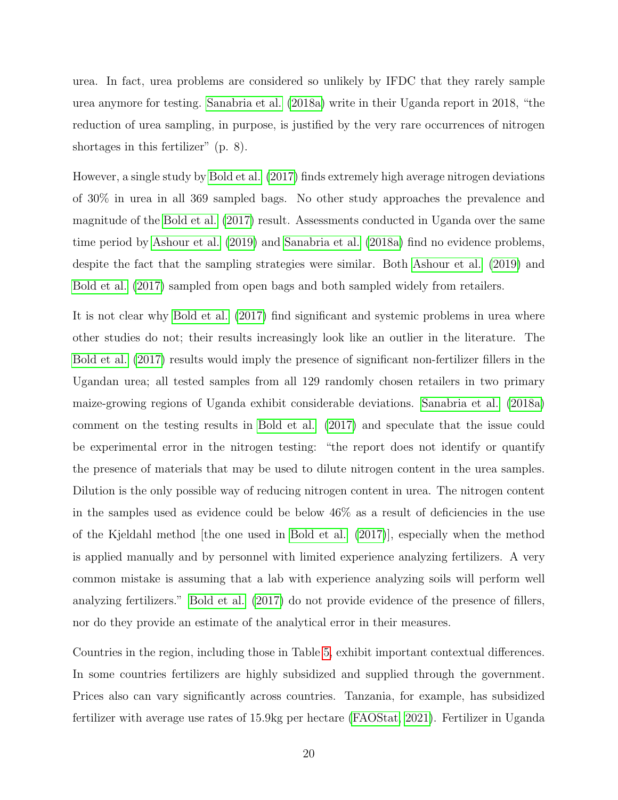urea. In fact, urea problems are considered so unlikely by IFDC that they rarely sample urea anymore for testing. [Sanabria et al. \(2018a\)](#page-41-6) write in their Uganda report in 2018, "the reduction of urea sampling, in purpose, is justified by the very rare occurrences of nitrogen shortages in this fertilizer" (p. 8).

However, a single study by [Bold et al. \(2017\)](#page-38-2) finds extremely high average nitrogen deviations of 30% in urea in all 369 sampled bags. No other study approaches the prevalence and magnitude of the [Bold et al. \(2017\)](#page-38-2) result. Assessments conducted in Uganda over the same time period by [Ashour et al. \(2019\)](#page-38-4) and [Sanabria et al. \(2018a\)](#page-41-6) find no evidence problems, despite the fact that the sampling strategies were similar. Both [Ashour et al. \(2019\)](#page-38-4) and [Bold et al. \(2017\)](#page-38-2) sampled from open bags and both sampled widely from retailers.

It is not clear why [Bold et al. \(2017\)](#page-38-2) find significant and systemic problems in urea where other studies do not; their results increasingly look like an outlier in the literature. The [Bold et al. \(2017\)](#page-38-2) results would imply the presence of significant non-fertilizer fillers in the Ugandan urea; all tested samples from all 129 randomly chosen retailers in two primary maize-growing regions of Uganda exhibit considerable deviations. [Sanabria et al. \(2018a\)](#page-41-6) comment on the testing results in [Bold et al. \(2017\)](#page-38-2) and speculate that the issue could be experimental error in the nitrogen testing: "the report does not identify or quantify the presence of materials that may be used to dilute nitrogen content in the urea samples. Dilution is the only possible way of reducing nitrogen content in urea. The nitrogen content in the samples used as evidence could be below 46% as a result of deficiencies in the use of the Kjeldahl method [the one used in [Bold et al. \(2017\)](#page-38-2)], especially when the method is applied manually and by personnel with limited experience analyzing fertilizers. A very common mistake is assuming that a lab with experience analyzing soils will perform well analyzing fertilizers." [Bold et al. \(2017\)](#page-38-2) do not provide evidence of the presence of fillers, nor do they provide an estimate of the analytical error in their measures.

Countries in the region, including those in Table [5,](#page-21-0) exhibit important contextual differences. In some countries fertilizers are highly subsidized and supplied through the government. Prices also can vary significantly across countries. Tanzania, for example, has subsidized fertilizer with average use rates of 15.9kg per hectare [\(FAOStat, 2021\)](#page-39-0). Fertilizer in Uganda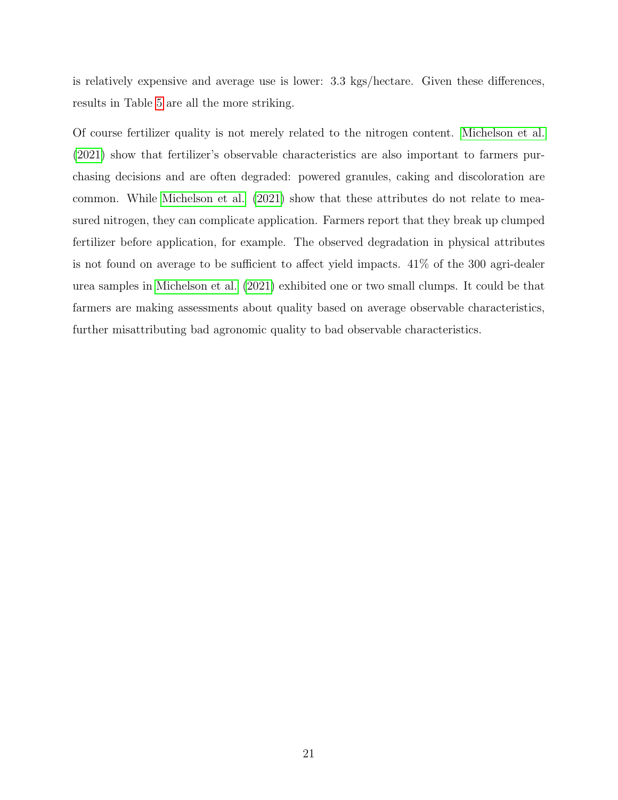is relatively expensive and average use is lower: 3.3 kgs/hectare. Given these differences, results in Table [5](#page-21-0) are all the more striking.

Of course fertilizer quality is not merely related to the nitrogen content. [Michelson et al.](#page-41-3) [\(2021\)](#page-41-3) show that fertilizer's observable characteristics are also important to farmers purchasing decisions and are often degraded: powered granules, caking and discoloration are common. While [Michelson et al. \(2021\)](#page-41-3) show that these attributes do not relate to measured nitrogen, they can complicate application. Farmers report that they break up clumped fertilizer before application, for example. The observed degradation in physical attributes is not found on average to be sufficient to affect yield impacts. 41% of the 300 agri-dealer urea samples in [Michelson et al. \(2021\)](#page-41-3) exhibited one or two small clumps. It could be that farmers are making assessments about quality based on average observable characteristics, further misattributing bad agronomic quality to bad observable characteristics.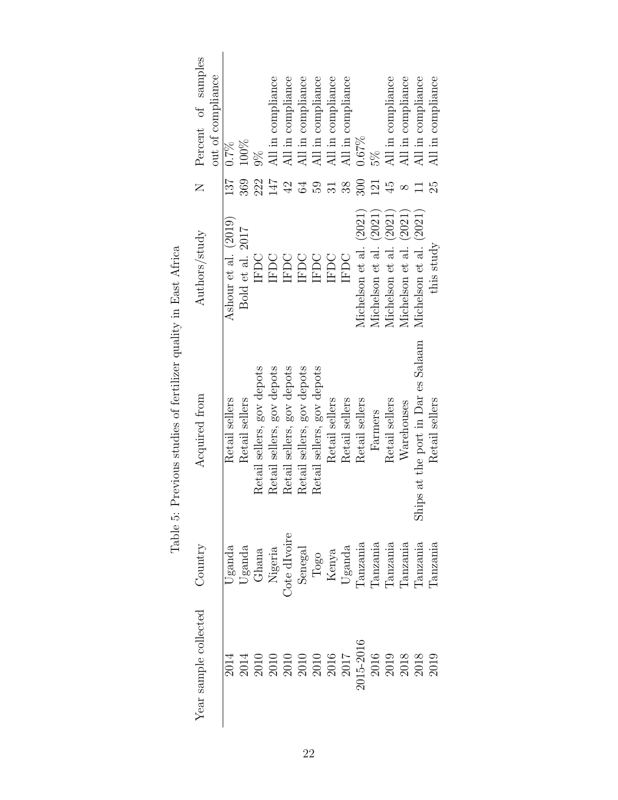<span id="page-21-0"></span>

| Percent of samples<br>out of compliance | 100%<br>$0.7\%$                                                                                                                                                                                                                                                                                                                                                                        | $\frac{8}{20}$             | All in compliance<br>All in compliance                                                                                                                                                                                                                                                                        | All in compliance          | All in compliance          | All in compliance   | All in compliance | 0.67%                  | 5%                     | All in compliance      | All in compliance      | All in compliance                             | All in compliance |
|-----------------------------------------|----------------------------------------------------------------------------------------------------------------------------------------------------------------------------------------------------------------------------------------------------------------------------------------------------------------------------------------------------------------------------------------|----------------------------|---------------------------------------------------------------------------------------------------------------------------------------------------------------------------------------------------------------------------------------------------------------------------------------------------------------|----------------------------|----------------------------|---------------------|-------------------|------------------------|------------------------|------------------------|------------------------|-----------------------------------------------|-------------------|
| $\overline{z}$                          | 369<br>137                                                                                                                                                                                                                                                                                                                                                                             | 222                        | 147<br>42                                                                                                                                                                                                                                                                                                     | 64                         | 50                         | $\overline{\Omega}$ | 38                | 300                    | 121                    | $\ddot{4}$             | $\infty$               |                                               | 25                |
| Authors/study                           | Ashour et al. (2019)<br>Bold et al. 2017                                                                                                                                                                                                                                                                                                                                               | IFDC                       | <b>IFDC</b><br>IFDC                                                                                                                                                                                                                                                                                           | IFDC                       | <b>IFDC</b>                | IFDC                | IFDC              | Michelson et al. (2021 | Michelson et al. (2021 | Michelson et al. (2021 | Michelson et al. (2021 | Michelson et al. (2021)                       | this study        |
| Acquired from                           | Retail sellers<br>Retail sellers                                                                                                                                                                                                                                                                                                                                                       | Retail sellers, gov depots | Retail sellers, gov depots<br>Retail sellers, gov depots                                                                                                                                                                                                                                                      | Retail sellers, gov depots | Retail sellers, gov depots | Retail sellers      | Retail sellers    | Retail sellers         | Farmers                | Retail sellers         | Warehouses             | at the port in Dar es Salaam<br>$\frac{1}{2}$ | Retail sellers    |
| $\operatorname{Country}$                | $\begin{array}{c} \text{ Uganda} \\ \text{Uganda} \\ \text{Chana} \\ \text{Neoria} \\ \text{Sengal} \\ \text{Sengal} \\ \text{Kenya} \\ \text{Uganda} \\ \text{Tanzania} \\ \text{Tanzania} \\ \text{Tanzania} \\ \text{Tanzania} \\ \text{Tanzania} \\ \text{Tanzania} \\ \text{Tanzania} \\ \text{Tanzania} \\ \text{Tanzania} \\ \text{Tanzania} \\ \text{Tanzania} \\ \end{array}$ |                            |                                                                                                                                                                                                                                                                                                               |                            |                            |                     |                   |                        |                        |                        |                        |                                               | Panzania          |
| Year sample collected                   | 2014                                                                                                                                                                                                                                                                                                                                                                                   |                            | $\begin{array}{l} 2014 \\ 2010 \\ 2010 \\ 2010 \\ 2010 \\ 2010 \\ 2010 \\ 2015 \\ 2017 \\ 2016 \\ 2017 \\ 2018 \\ 2019 \\ 2013 \\ 2013 \\ 2013 \\ 2019 \\ 2019 \\ 2019 \\ 2019 \\ 2019 \\ 2019 \\ 2019 \\ 2019 \\ 2019 \\ 2019 \\ 2019 \\ 2019 \\ 2019 \\ 2019 \\ 2019 \\ 2019 \\ 2019 \\ 2019 \\ 2019 \\ 20$ |                            |                            |                     |                   |                        |                        |                        |                        |                                               |                   |

Table 5: Previous studies of fertilizer quality in East Africa Table 5: Previous studies of fertilizer quality in East Africa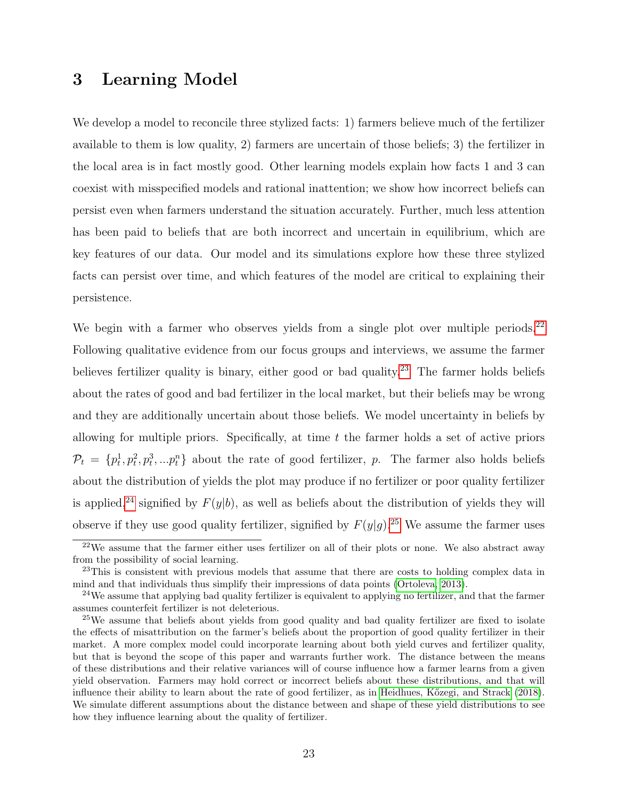### <span id="page-22-0"></span>3 Learning Model

We develop a model to reconcile three stylized facts: 1) farmers believe much of the fertilizer available to them is low quality, 2) farmers are uncertain of those beliefs; 3) the fertilizer in the local area is in fact mostly good. Other learning models explain how facts 1 and 3 can coexist with misspecified models and rational inattention; we show how incorrect beliefs can persist even when farmers understand the situation accurately. Further, much less attention has been paid to beliefs that are both incorrect and uncertain in equilibrium, which are key features of our data. Our model and its simulations explore how these three stylized facts can persist over time, and which features of the model are critical to explaining their persistence.

We begin with a farmer who observes yields from a single plot over multiple periods.<sup>[22](#page-22-1)</sup> Following qualitative evidence from our focus groups and interviews, we assume the farmer believes fertilizer quality is binary, either good or bad quality.<sup>[23](#page-22-2)</sup> The farmer holds beliefs about the rates of good and bad fertilizer in the local market, but their beliefs may be wrong and they are additionally uncertain about those beliefs. We model uncertainty in beliefs by allowing for multiple priors. Specifically, at time  $t$  the farmer holds a set of active priors  $\mathcal{P}_t = \{p_t^1, p_t^2, p_t^3, ... p_t^n\}$  about the rate of good fertilizer, p. The farmer also holds beliefs about the distribution of yields the plot may produce if no fertilizer or poor quality fertilizer is applied,<sup>[24](#page-22-3)</sup> signified by  $F(y|b)$ , as well as beliefs about the distribution of yields they will observe if they use good quality fertilizer, signified by  $F(y|g)$ .<sup>[25](#page-22-4)</sup> We assume the farmer uses

<span id="page-22-1"></span> $22$ We assume that the farmer either uses fertilizer on all of their plots or none. We also abstract away from the possibility of social learning.

<span id="page-22-2"></span><sup>&</sup>lt;sup>23</sup>This is consistent with previous models that assume that there are costs to holding complex data in mind and that individuals thus simplify their impressions of data points [\(Ortoleva, 2013\)](#page-41-11).

<span id="page-22-3"></span><sup>&</sup>lt;sup>24</sup>We assume that applying bad quality fertilizer is equivalent to applying no fertilizer, and that the farmer assumes counterfeit fertilizer is not deleterious.

<span id="page-22-4"></span><sup>&</sup>lt;sup>25</sup>We assume that beliefs about yields from good quality and bad quality fertilizer are fixed to isolate the effects of misattribution on the farmer's beliefs about the proportion of good quality fertilizer in their market. A more complex model could incorporate learning about both yield curves and fertilizer quality, but that is beyond the scope of this paper and warrants further work. The distance between the means of these distributions and their relative variances will of course influence how a farmer learns from a given yield observation. Farmers may hold correct or incorrect beliefs about these distributions, and that will influence their ability to learn about the rate of good fertilizer, as in Heidhues, Kőzegi, and Strack [\(2018\)](#page-40-10). We simulate different assumptions about the distance between and shape of these yield distributions to see how they influence learning about the quality of fertilizer.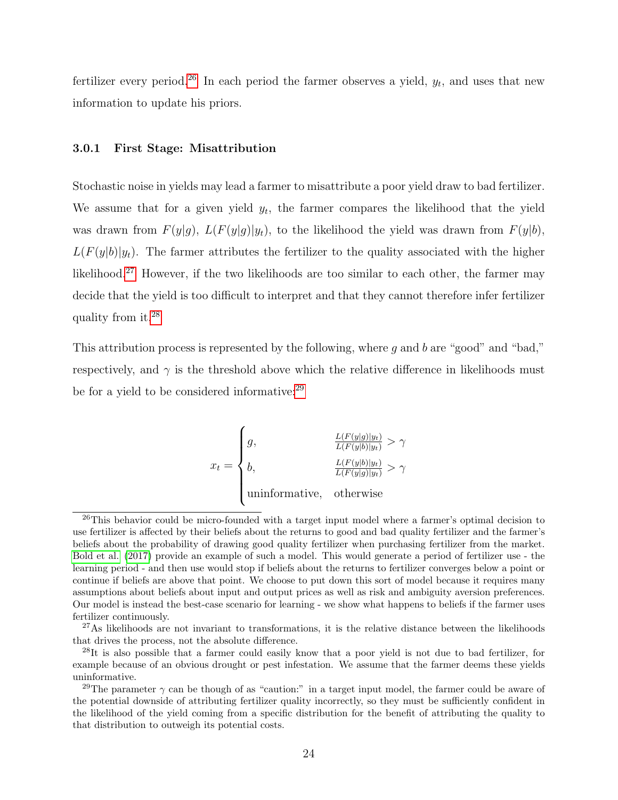fertilizer every period.<sup>[26](#page-23-0)</sup> In each period the farmer observes a yield,  $y_t$ , and uses that new information to update his priors.

#### 3.0.1 First Stage: Misattribution

Stochastic noise in yields may lead a farmer to misattribute a poor yield draw to bad fertilizer. We assume that for a given yield  $y_t$ , the farmer compares the likelihood that the yield was drawn from  $F(y|g)$ ,  $L(F(y|g)|y_t)$ , to the likelihood the yield was drawn from  $F(y|b)$ ,  $L(F(y|b)|y_t)$ . The farmer attributes the fertilizer to the quality associated with the higher likelihood.[27](#page-23-1) However, if the two likelihoods are too similar to each other, the farmer may decide that the yield is too difficult to interpret and that they cannot therefore infer fertilizer quality from it.[28](#page-23-2)

This attribution process is represented by the following, where  $g$  and  $b$  are "good" and "bad," respectively, and  $\gamma$  is the threshold above which the relative difference in likelihoods must be for a yield to be considered informative:<sup>[29](#page-23-3)</sup>

$$
x_t = \begin{cases} g, & \frac{L(F(y|g)|y_t)}{L(F(y|b)|y_t)} > \gamma \\ b, & \frac{L(F(y|b)|y_t)}{L(F(y|g)|y_t)} > \gamma \\ \text{uninformative, otherwise} \end{cases}
$$

<span id="page-23-0"></span> $^{26}$ This behavior could be micro-founded with a target input model where a farmer's optimal decision to use fertilizer is affected by their beliefs about the returns to good and bad quality fertilizer and the farmer's beliefs about the probability of drawing good quality fertilizer when purchasing fertilizer from the market. [Bold et al.](#page-38-2) [\(2017\)](#page-38-2) provide an example of such a model. This would generate a period of fertilizer use - the learning period - and then use would stop if beliefs about the returns to fertilizer converges below a point or continue if beliefs are above that point. We choose to put down this sort of model because it requires many assumptions about beliefs about input and output prices as well as risk and ambiguity aversion preferences. Our model is instead the best-case scenario for learning - we show what happens to beliefs if the farmer uses fertilizer continuously.

<span id="page-23-1"></span> $27\text{As}$  likelihoods are not invariant to transformations, it is the relative distance between the likelihoods that drives the process, not the absolute difference.

<span id="page-23-2"></span><sup>&</sup>lt;sup>28</sup>It is also possible that a farmer could easily know that a poor yield is not due to bad fertilizer, for example because of an obvious drought or pest infestation. We assume that the farmer deems these yields uninformative.

<span id="page-23-3"></span><sup>&</sup>lt;sup>29</sup>The parameter  $\gamma$  can be though of as "caution:" in a target input model, the farmer could be aware of the potential downside of attributing fertilizer quality incorrectly, so they must be sufficiently confident in the likelihood of the yield coming from a specific distribution for the benefit of attributing the quality to that distribution to outweigh its potential costs.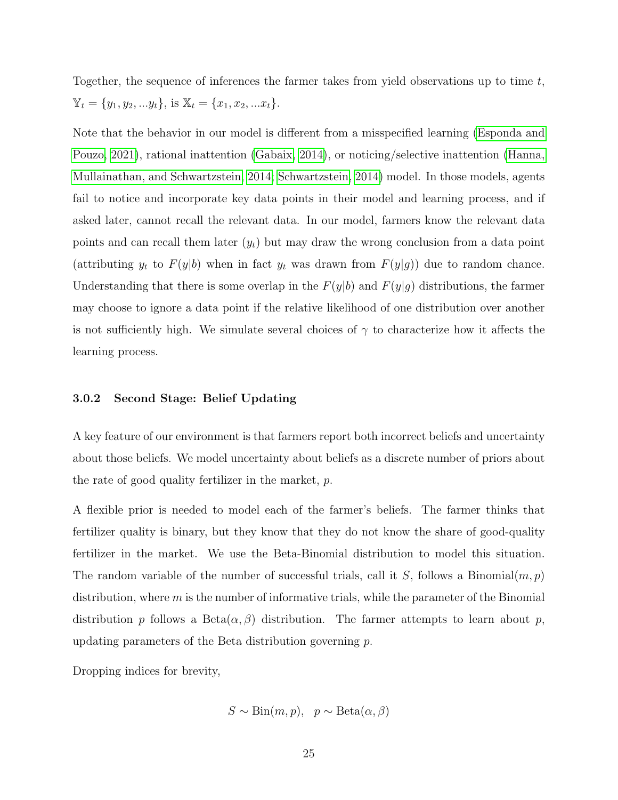Together, the sequence of inferences the farmer takes from yield observations up to time t,  $\mathbb{Y}_t = \{y_1, y_2, ... y_t\}, \text{ is } \mathbb{X}_t = \{x_1, x_2, ... x_t\}.$ 

Note that the behavior in our model is different from a misspecified learning [\(Esponda and](#page-39-10) [Pouzo, 2021\)](#page-39-10), rational inattention [\(Gabaix, 2014\)](#page-39-11), or noticing/selective inattention [\(Hanna,](#page-40-11) [Mullainathan, and Schwartzstein, 2014;](#page-40-11) [Schwartzstein, 2014\)](#page-41-12) model. In those models, agents fail to notice and incorporate key data points in their model and learning process, and if asked later, cannot recall the relevant data. In our model, farmers know the relevant data points and can recall them later  $(y_t)$  but may draw the wrong conclusion from a data point (attributing  $y_t$  to  $F(y|b)$  when in fact  $y_t$  was drawn from  $F(y|g)$ ) due to random chance. Understanding that there is some overlap in the  $F(y|b)$  and  $F(y|g)$  distributions, the farmer may choose to ignore a data point if the relative likelihood of one distribution over another is not sufficiently high. We simulate several choices of  $\gamma$  to characterize how it affects the learning process.

#### 3.0.2 Second Stage: Belief Updating

A key feature of our environment is that farmers report both incorrect beliefs and uncertainty about those beliefs. We model uncertainty about beliefs as a discrete number of priors about the rate of good quality fertilizer in the market, p.

A flexible prior is needed to model each of the farmer's beliefs. The farmer thinks that fertilizer quality is binary, but they know that they do not know the share of good-quality fertilizer in the market. We use the Beta-Binomial distribution to model this situation. The random variable of the number of successful trials, call it S, follows a Binomial $(m, p)$ distribution, where  $m$  is the number of informative trials, while the parameter of the Binomial distribution p follows a Beta $(\alpha, \beta)$  distribution. The farmer attempts to learn about p, updating parameters of the Beta distribution governing p.

Dropping indices for brevity,

$$
S \sim Bin(m, p), p \sim Beta(\alpha, \beta)
$$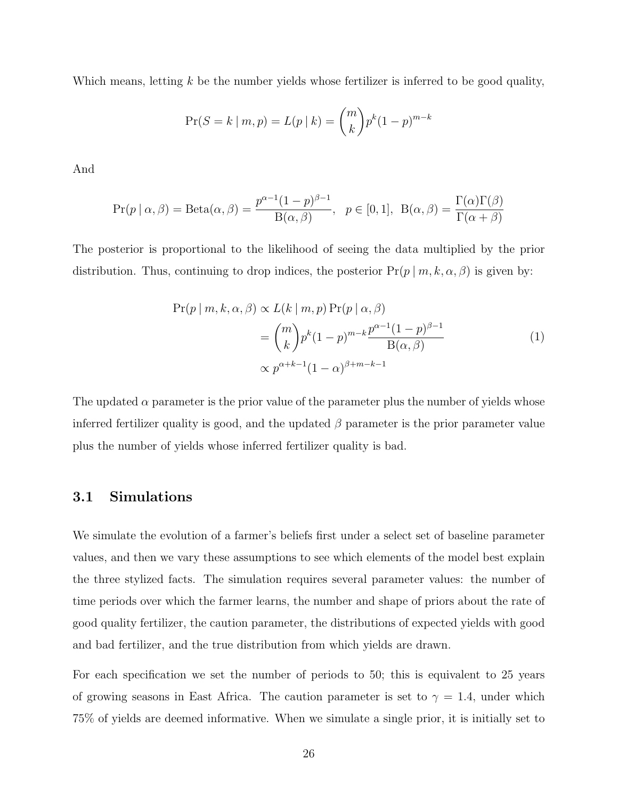Which means, letting k be the number yields whose fertilizer is inferred to be good quality,

$$
\Pr(S = k \mid m, p) = L(p \mid k) = \binom{m}{k} p^{k} (1-p)^{m-k}
$$

And

$$
\Pr(p \mid \alpha, \beta) = \text{Beta}(\alpha, \beta) = \frac{p^{\alpha - 1}(1 - p)^{\beta - 1}}{\text{B}(\alpha, \beta)}, \quad p \in [0, 1], \ \ \text{B}(\alpha, \beta) = \frac{\Gamma(\alpha)\Gamma(\beta)}{\Gamma(\alpha + \beta)}
$$

The posterior is proportional to the likelihood of seeing the data multiplied by the prior distribution. Thus, continuing to drop indices, the posterior  $Pr(p | m, k, \alpha, \beta)$  is given by:

$$
\Pr(p \mid m, k, \alpha, \beta) \propto L(k \mid m, p) \Pr(p \mid \alpha, \beta)
$$

$$
= {m \choose k} p^{k} (1-p)^{m-k} \frac{p^{\alpha-1} (1-p)^{\beta-1}}{B(\alpha, \beta)}
$$
(1)
$$
\propto p^{\alpha+k-1} (1-\alpha)^{\beta+m-k-1}
$$

The updated  $\alpha$  parameter is the prior value of the parameter plus the number of yields whose inferred fertilizer quality is good, and the updated  $\beta$  parameter is the prior parameter value plus the number of yields whose inferred fertilizer quality is bad.

### 3.1 Simulations

We simulate the evolution of a farmer's beliefs first under a select set of baseline parameter values, and then we vary these assumptions to see which elements of the model best explain the three stylized facts. The simulation requires several parameter values: the number of time periods over which the farmer learns, the number and shape of priors about the rate of good quality fertilizer, the caution parameter, the distributions of expected yields with good and bad fertilizer, and the true distribution from which yields are drawn.

For each specification we set the number of periods to 50; this is equivalent to 25 years of growing seasons in East Africa. The caution parameter is set to  $\gamma = 1.4$ , under which 75% of yields are deemed informative. When we simulate a single prior, it is initially set to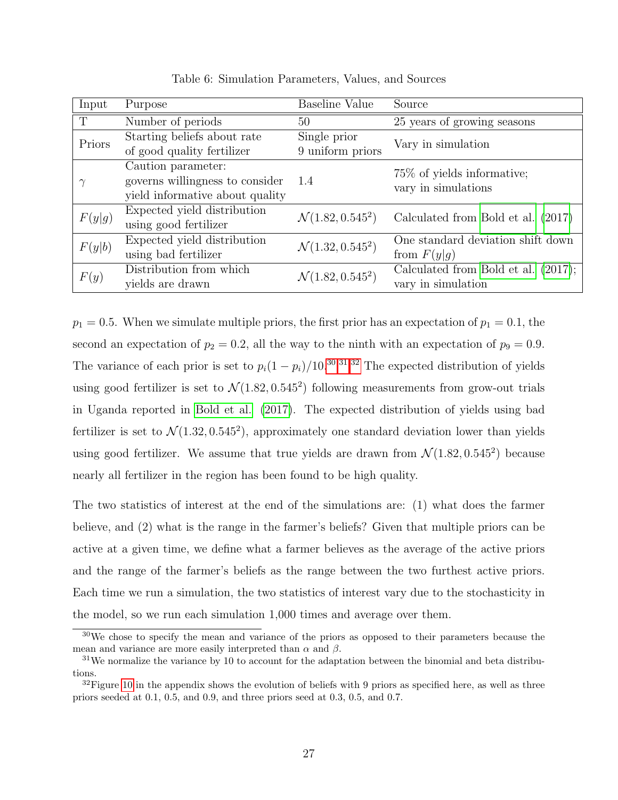| Input  | Purpose                                                                                  | Baseline Value                   | Source                                                       |
|--------|------------------------------------------------------------------------------------------|----------------------------------|--------------------------------------------------------------|
| T      | Number of periods                                                                        | 50                               | 25 years of growing seasons                                  |
| Priors | Starting beliefs about rate<br>of good quality fertilizer                                | Single prior<br>9 uniform priors | Vary in simulation                                           |
|        | Caution parameter:<br>governs willingness to consider<br>yield informative about quality | 1.4                              | 75\% of yields informative;<br>vary in simulations           |
| F(y g) | Expected yield distribution<br>using good fertilizer                                     | $\mathcal{N}(1.82, 0.545^2)$     | Calculated from Bold et al. (2017)                           |
| F(y b) | Expected yield distribution<br>using bad fertilizer                                      | $\mathcal{N}(1.32, 0.545^2)$     | One standard deviation shift down<br>from $F(y g)$           |
| F(y)   | Distribution from which<br>yields are drawn                                              | $\mathcal{N}(1.82, 0.545^2)$     | Calculated from Bold et al.<br>(2017);<br>vary in simulation |

Table 6: Simulation Parameters, Values, and Sources

 $p_1 = 0.5$ . When we simulate multiple priors, the first prior has an expectation of  $p_1 = 0.1$ , the second an expectation of  $p_2 = 0.2$ , all the way to the ninth with an expectation of  $p_9 = 0.9$ . The variance of each prior is set to  $p_i(1-p_i)/10^{30,31,32}$  $p_i(1-p_i)/10^{30,31,32}$  $p_i(1-p_i)/10^{30,31,32}$  $p_i(1-p_i)/10^{30,31,32}$  $p_i(1-p_i)/10^{30,31,32}$  The expected distribution of yields using good fertilizer is set to  $\mathcal{N}(1.82, 0.545^2)$  following measurements from grow-out trials in Uganda reported in [Bold et al. \(2017\)](#page-38-2). The expected distribution of yields using bad fertilizer is set to  $\mathcal{N}(1.32, 0.545^2)$ , approximately one standard deviation lower than yields using good fertilizer. We assume that true yields are drawn from  $\mathcal{N}(1.82, 0.545^2)$  because nearly all fertilizer in the region has been found to be high quality.

The two statistics of interest at the end of the simulations are: (1) what does the farmer believe, and (2) what is the range in the farmer's beliefs? Given that multiple priors can be active at a given time, we define what a farmer believes as the average of the active priors and the range of the farmer's beliefs as the range between the two furthest active priors. Each time we run a simulation, the two statistics of interest vary due to the stochasticity in the model, so we run each simulation 1,000 times and average over them.

<span id="page-26-0"></span><sup>&</sup>lt;sup>30</sup>We chose to specify the mean and variance of the priors as opposed to their parameters because the mean and variance are more easily interpreted than  $\alpha$  and  $\beta$ .

<span id="page-26-1"></span> $31$ We normalize the variance by 10 to account for the adaptation between the binomial and beta distributions.

<span id="page-26-2"></span> $32$ Figure [10](#page-44-0) in the appendix shows the evolution of beliefs with 9 priors as specified here, as well as three priors seeded at 0.1, 0.5, and 0.9, and three priors seed at 0.3, 0.5, and 0.7.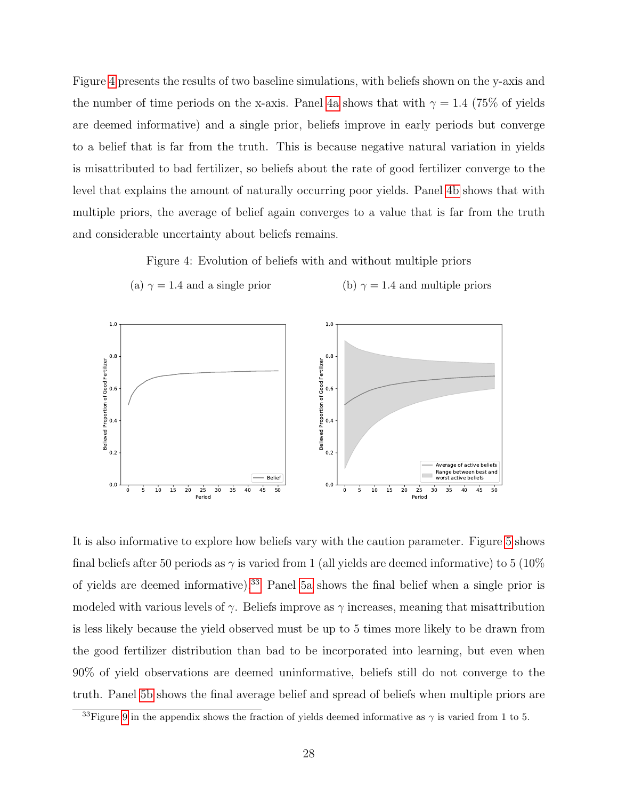Figure [4](#page-27-0) presents the results of two baseline simulations, with beliefs shown on the y-axis and the number of time periods on the x-axis. Panel [4a](#page-27-0) shows that with  $\gamma = 1.4$  (75% of yields are deemed informative) and a single prior, beliefs improve in early periods but converge to a belief that is far from the truth. This is because negative natural variation in yields is misattributed to bad fertilizer, so beliefs about the rate of good fertilizer converge to the level that explains the amount of naturally occurring poor yields. Panel [4b](#page-27-0) shows that with multiple priors, the average of belief again converges to a value that is far from the truth and considerable uncertainty about beliefs remains.

Figure 4: Evolution of beliefs with and without multiple priors

<span id="page-27-0"></span>



It is also informative to explore how beliefs vary with the caution parameter. Figure [5](#page-28-0) shows final beliefs after 50 periods as  $\gamma$  is varied from 1 (all yields are deemed informative) to 5 (10%) of yields are deemed informative).<sup>[33](#page-27-1)</sup> Panel [5a](#page-28-0) shows the final belief when a single prior is modeled with various levels of  $\gamma$ . Beliefs improve as  $\gamma$  increases, meaning that misattribution is less likely because the yield observed must be up to 5 times more likely to be drawn from the good fertilizer distribution than bad to be incorporated into learning, but even when 90% of yield observations are deemed uninformative, beliefs still do not converge to the truth. Panel [5b](#page-28-0) shows the final average belief and spread of beliefs when multiple priors are

<span id="page-27-1"></span><sup>&</sup>lt;sup>33</sup>Figure [9](#page-43-0) in the appendix shows the fraction of yields deemed informative as  $\gamma$  is varied from 1 to 5.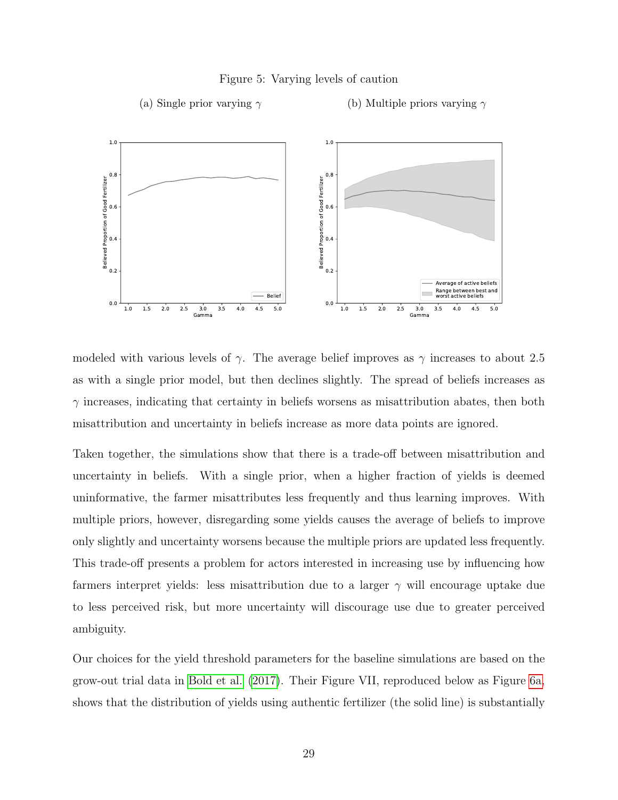#### Figure 5: Varying levels of caution

(a) Single prior varying  $\gamma$ 

(b) Multiple priors varying  $\gamma$ 

<span id="page-28-0"></span>

modeled with various levels of  $\gamma$ . The average belief improves as  $\gamma$  increases to about 2.5 as with a single prior model, but then declines slightly. The spread of beliefs increases as  $\gamma$  increases, indicating that certainty in beliefs worsens as misattribution abates, then both misattribution and uncertainty in beliefs increase as more data points are ignored.

Taken together, the simulations show that there is a trade-off between misattribution and uncertainty in beliefs. With a single prior, when a higher fraction of yields is deemed uninformative, the farmer misattributes less frequently and thus learning improves. With multiple priors, however, disregarding some yields causes the average of beliefs to improve only slightly and uncertainty worsens because the multiple priors are updated less frequently. This trade-off presents a problem for actors interested in increasing use by influencing how farmers interpret yields: less misattribution due to a larger  $\gamma$  will encourage uptake due to less perceived risk, but more uncertainty will discourage use due to greater perceived ambiguity.

Our choices for the yield threshold parameters for the baseline simulations are based on the grow-out trial data in [Bold et al. \(2017\)](#page-38-2). Their Figure VII, reproduced below as Figure [6a,](#page-29-0) shows that the distribution of yields using authentic fertilizer (the solid line) is substantially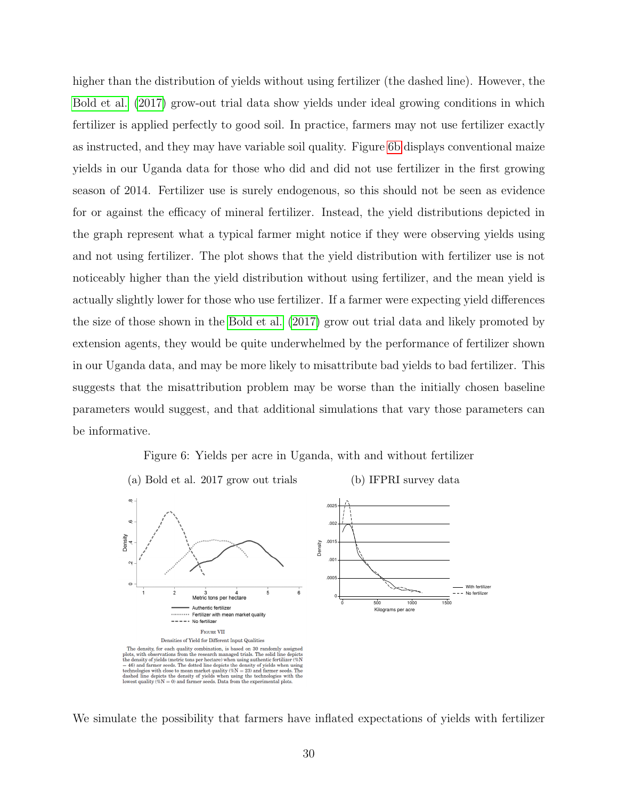higher than the distribution of yields without using fertilizer (the dashed line). However, the [Bold et al. \(2017\)](#page-38-2) grow-out trial data show yields under ideal growing conditions in which fertilizer is applied perfectly to good soil. In practice, farmers may not use fertilizer exactly as instructed, and they may have variable soil quality. Figure [6b](#page-29-0) displays conventional maize yields in our Uganda data for those who did and did not use fertilizer in the first growing season of 2014. Fertilizer use is surely endogenous, so this should not be seen as evidence for or against the efficacy of mineral fertilizer. Instead, the yield distributions depicted in the graph represent what a typical farmer might notice if they were observing yields using and not using fertilizer. The plot shows that the yield distribution with fertilizer use is not noticeably higher than the yield distribution without using fertilizer, and the mean yield is actually slightly lower for those who use fertilizer. If a farmer were expecting yield differences the size of those shown in the [Bold et al. \(2017\)](#page-38-2) grow out trial data and likely promoted by extension agents, they would be quite underwhelmed by the performance of fertilizer shown in our Uganda data, and may be more likely to misattribute bad yields to bad fertilizer. This suggests that the misattribution problem may be worse than the initially chosen baseline parameters would suggest, and that additional simulations that vary those parameters can be informative.

<span id="page-29-0"></span>



We simulate the possibility that farmers have inflated expectations of yields with fertilizer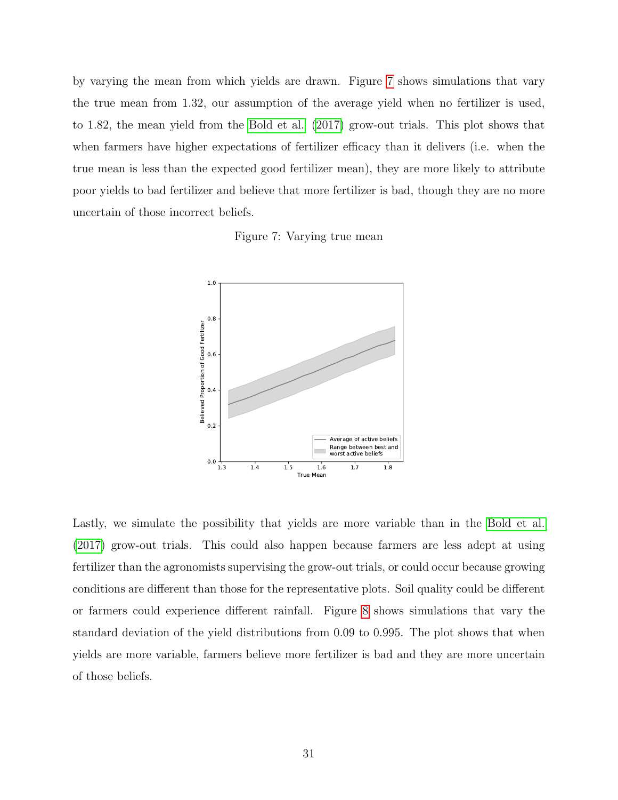by varying the mean from which yields are drawn. Figure [7](#page-30-0) shows simulations that vary the true mean from 1.32, our assumption of the average yield when no fertilizer is used, to 1.82, the mean yield from the [Bold et al. \(2017\)](#page-38-2) grow-out trials. This plot shows that when farmers have higher expectations of fertilizer efficacy than it delivers (i.e. when the true mean is less than the expected good fertilizer mean), they are more likely to attribute poor yields to bad fertilizer and believe that more fertilizer is bad, though they are no more uncertain of those incorrect beliefs.

Figure 7: Varying true mean

<span id="page-30-0"></span>

Lastly, we simulate the possibility that yields are more variable than in the [Bold et al.](#page-38-2) [\(2017\)](#page-38-2) grow-out trials. This could also happen because farmers are less adept at using fertilizer than the agronomists supervising the grow-out trials, or could occur because growing conditions are different than those for the representative plots. Soil quality could be different or farmers could experience different rainfall. Figure [8](#page-31-0) shows simulations that vary the standard deviation of the yield distributions from 0.09 to 0.995. The plot shows that when yields are more variable, farmers believe more fertilizer is bad and they are more uncertain of those beliefs.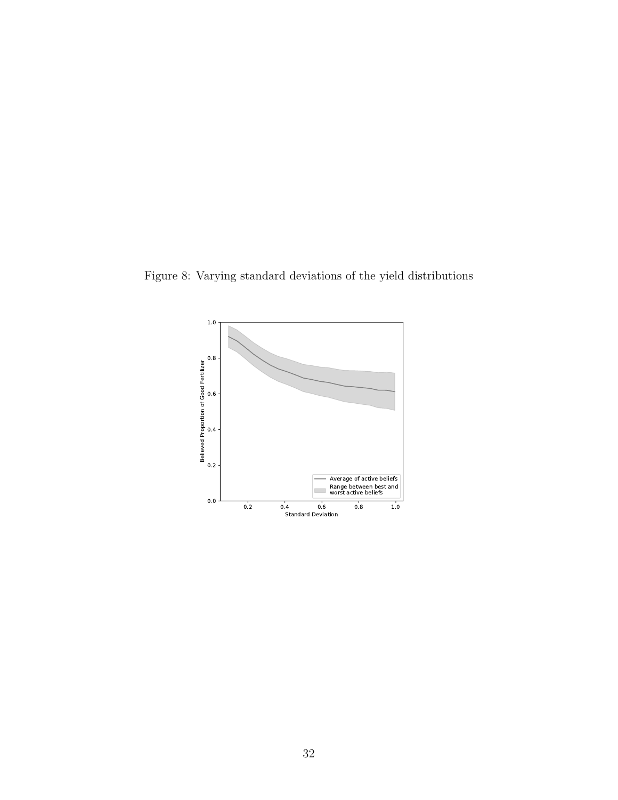<span id="page-31-0"></span>Figure 8: Varying standard deviations of the yield distributions

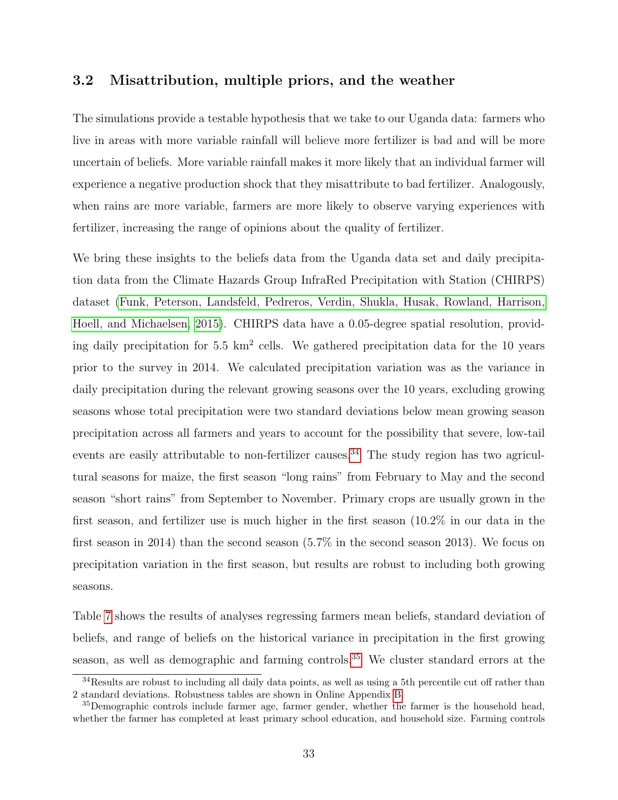### 3.2 Misattribution, multiple priors, and the weather

The simulations provide a testable hypothesis that we take to our Uganda data: farmers who live in areas with more variable rainfall will believe more fertilizer is bad and will be more uncertain of beliefs. More variable rainfall makes it more likely that an individual farmer will experience a negative production shock that they misattribute to bad fertilizer. Analogously, when rains are more variable, farmers are more likely to observe varying experiences with fertilizer, increasing the range of opinions about the quality of fertilizer.

We bring these insights to the beliefs data from the Uganda data set and daily precipitation data from the Climate Hazards Group InfraRed Precipitation with Station (CHIRPS) dataset [\(Funk, Peterson, Landsfeld, Pedreros, Verdin, Shukla, Husak, Rowland, Harrison,](#page-39-12) [Hoell, and Michaelsen, 2015\)](#page-39-12). CHIRPS data have a 0.05-degree spatial resolution, providing daily precipitation for 5.5 km<sup>2</sup> cells. We gathered precipitation data for the 10 years prior to the survey in 2014. We calculated precipitation variation was as the variance in daily precipitation during the relevant growing seasons over the 10 years, excluding growing seasons whose total precipitation were two standard deviations below mean growing season precipitation across all farmers and years to account for the possibility that severe, low-tail events are easily attributable to non-fertilizer causes.<sup>[34](#page-32-0)</sup> The study region has two agricultural seasons for maize, the first season "long rains" from February to May and the second season "short rains" from September to November. Primary crops are usually grown in the first season, and fertilizer use is much higher in the first season (10.2% in our data in the first season in 2014) than the second season (5.7% in the second season 2013). We focus on precipitation variation in the first season, but results are robust to including both growing seasons.

Table [7](#page-33-0) shows the results of analyses regressing farmers mean beliefs, standard deviation of beliefs, and range of beliefs on the historical variance in precipitation in the first growing season, as well as demographic and farming controls.<sup>[35](#page-32-1)</sup> We cluster standard errors at the

<span id="page-32-0"></span><sup>&</sup>lt;sup>34</sup>Results are robust to including all daily data points, as well as using a 5th percentile cut off rather than 2 standard deviations. Robustness tables are shown in Online Appendix [B.](#page-45-0)

<span id="page-32-1"></span><sup>&</sup>lt;sup>35</sup>Demographic controls include farmer age, farmer gender, whether the farmer is the household head, whether the farmer has completed at least primary school education, and household size. Farming controls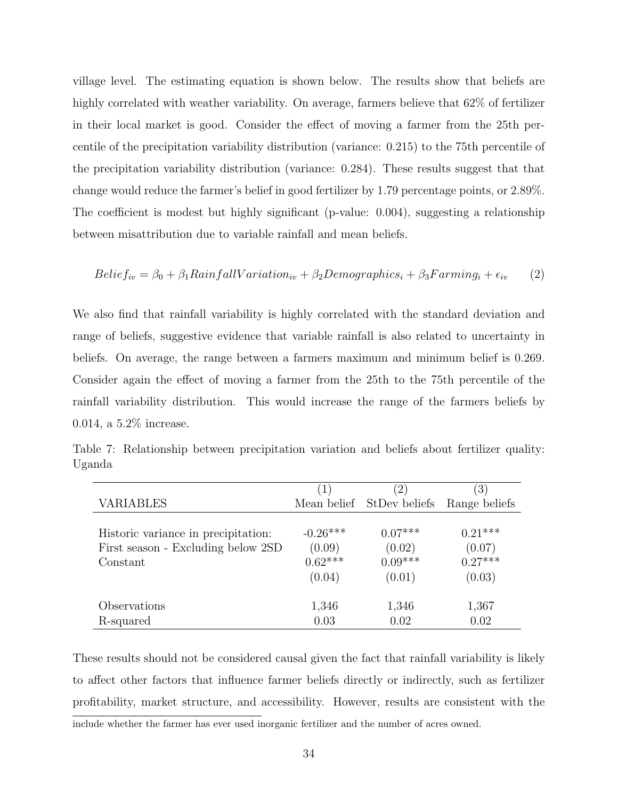village level. The estimating equation is shown below. The results show that beliefs are highly correlated with weather variability. On average, farmers believe that 62\% of fertilizer in their local market is good. Consider the effect of moving a farmer from the 25th percentile of the precipitation variability distribution (variance: 0.215) to the 75th percentile of the precipitation variability distribution (variance: 0.284). These results suggest that that change would reduce the farmer's belief in good fertilizer by 1.79 percentage points, or 2.89%. The coefficient is modest but highly significant (p-value: 0.004), suggesting a relationship between misattribution due to variable rainfall and mean beliefs.

$$
Beliefiv = \beta_0 + \beta_1 RainfallVariationiv + \beta_2 Demographiesi + \beta_3 Farmingi + \epsilon_{iv}
$$
 (2)

We also find that rainfall variability is highly correlated with the standard deviation and range of beliefs, suggestive evidence that variable rainfall is also related to uncertainty in beliefs. On average, the range between a farmers maximum and minimum belief is 0.269. Consider again the effect of moving a farmer from the 25th to the 75th percentile of the rainfall variability distribution. This would increase the range of the farmers beliefs by 0.014, a 5.2% increase.

|                                     | $ 1\rangle$ | $\left(2\right)$          | $\left(3\right)$ |
|-------------------------------------|-------------|---------------------------|------------------|
| <b>VARIABLES</b>                    |             | Mean belief StDev beliefs | Range beliefs    |
| Historic variance in precipitation: | $-0.26***$  | $0.07***$                 | $0.21***$        |
| First season - Excluding below 2SD  | (0.09)      | (0.02)                    | (0.07)           |
| Constant                            | $0.62***$   | $0.09***$                 | $0.27***$        |
|                                     | (0.04)      | (0.01)                    | (0.03)           |
| Observations                        | 1,346       | 1,346                     | 1,367            |
| R-squared                           | 0.03        | 0.02                      | 0.02             |

<span id="page-33-0"></span>Table 7: Relationship between precipitation variation and beliefs about fertilizer quality: Uganda

These results should not be considered causal given the fact that rainfall variability is likely to affect other factors that influence farmer beliefs directly or indirectly, such as fertilizer profitability, market structure, and accessibility. However, results are consistent with the include whether the farmer has ever used inorganic fertilizer and the number of acres owned.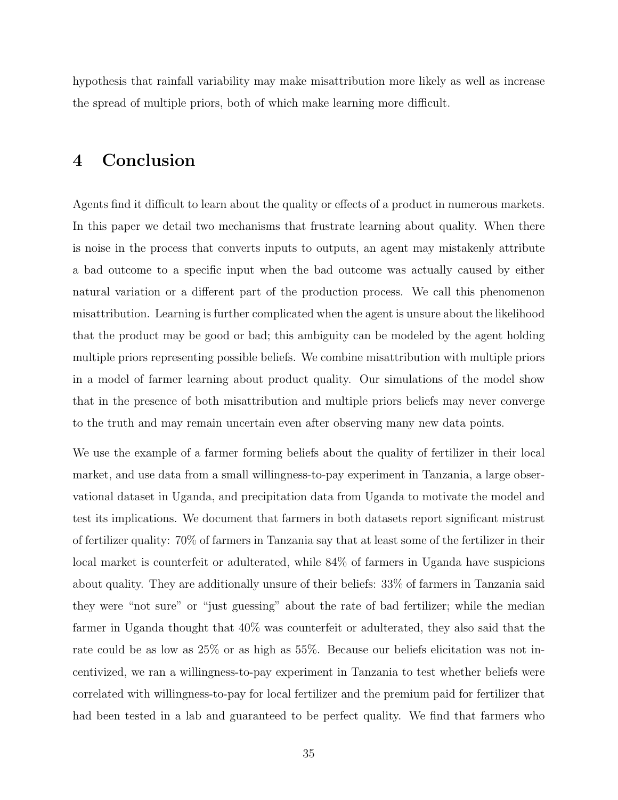hypothesis that rainfall variability may make misattribution more likely as well as increase the spread of multiple priors, both of which make learning more difficult.

### <span id="page-34-0"></span>4 Conclusion

Agents find it difficult to learn about the quality or effects of a product in numerous markets. In this paper we detail two mechanisms that frustrate learning about quality. When there is noise in the process that converts inputs to outputs, an agent may mistakenly attribute a bad outcome to a specific input when the bad outcome was actually caused by either natural variation or a different part of the production process. We call this phenomenon misattribution. Learning is further complicated when the agent is unsure about the likelihood that the product may be good or bad; this ambiguity can be modeled by the agent holding multiple priors representing possible beliefs. We combine misattribution with multiple priors in a model of farmer learning about product quality. Our simulations of the model show that in the presence of both misattribution and multiple priors beliefs may never converge to the truth and may remain uncertain even after observing many new data points.

We use the example of a farmer forming beliefs about the quality of fertilizer in their local market, and use data from a small willingness-to-pay experiment in Tanzania, a large observational dataset in Uganda, and precipitation data from Uganda to motivate the model and test its implications. We document that farmers in both datasets report significant mistrust of fertilizer quality: 70% of farmers in Tanzania say that at least some of the fertilizer in their local market is counterfeit or adulterated, while 84% of farmers in Uganda have suspicions about quality. They are additionally unsure of their beliefs: 33% of farmers in Tanzania said they were "not sure" or "just guessing" about the rate of bad fertilizer; while the median farmer in Uganda thought that 40% was counterfeit or adulterated, they also said that the rate could be as low as 25% or as high as 55%. Because our beliefs elicitation was not incentivized, we ran a willingness-to-pay experiment in Tanzania to test whether beliefs were correlated with willingness-to-pay for local fertilizer and the premium paid for fertilizer that had been tested in a lab and guaranteed to be perfect quality. We find that farmers who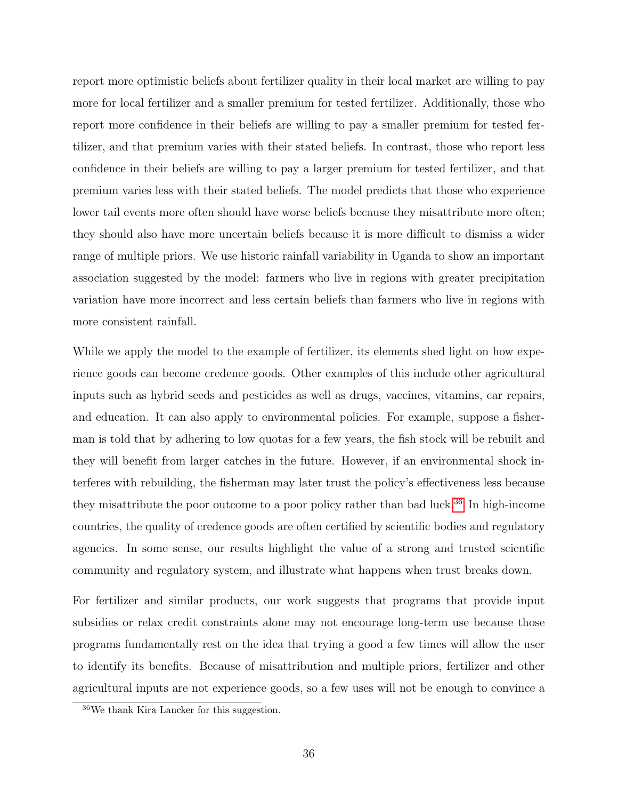report more optimistic beliefs about fertilizer quality in their local market are willing to pay more for local fertilizer and a smaller premium for tested fertilizer. Additionally, those who report more confidence in their beliefs are willing to pay a smaller premium for tested fertilizer, and that premium varies with their stated beliefs. In contrast, those who report less confidence in their beliefs are willing to pay a larger premium for tested fertilizer, and that premium varies less with their stated beliefs. The model predicts that those who experience lower tail events more often should have worse beliefs because they misattribute more often; they should also have more uncertain beliefs because it is more difficult to dismiss a wider range of multiple priors. We use historic rainfall variability in Uganda to show an important association suggested by the model: farmers who live in regions with greater precipitation variation have more incorrect and less certain beliefs than farmers who live in regions with more consistent rainfall.

While we apply the model to the example of fertilizer, its elements shed light on how experience goods can become credence goods. Other examples of this include other agricultural inputs such as hybrid seeds and pesticides as well as drugs, vaccines, vitamins, car repairs, and education. It can also apply to environmental policies. For example, suppose a fisherman is told that by adhering to low quotas for a few years, the fish stock will be rebuilt and they will benefit from larger catches in the future. However, if an environmental shock interferes with rebuilding, the fisherman may later trust the policy's effectiveness less because they misattribute the poor outcome to a poor policy rather than bad luck.<sup>[36](#page-35-0)</sup> In high-income countries, the quality of credence goods are often certified by scientific bodies and regulatory agencies. In some sense, our results highlight the value of a strong and trusted scientific community and regulatory system, and illustrate what happens when trust breaks down.

For fertilizer and similar products, our work suggests that programs that provide input subsidies or relax credit constraints alone may not encourage long-term use because those programs fundamentally rest on the idea that trying a good a few times will allow the user to identify its benefits. Because of misattribution and multiple priors, fertilizer and other agricultural inputs are not experience goods, so a few uses will not be enough to convince a

<span id="page-35-0"></span><sup>36</sup>We thank Kira Lancker for this suggestion.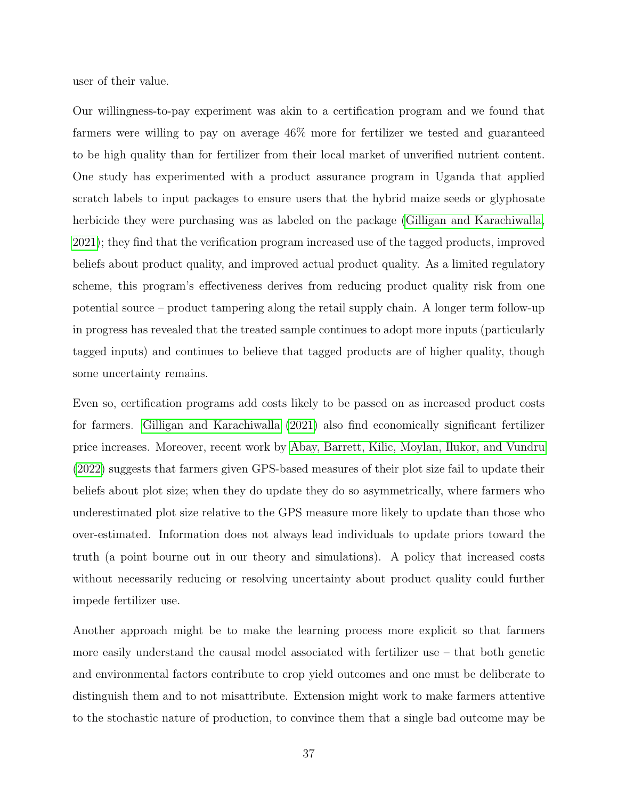user of their value.

Our willingness-to-pay experiment was akin to a certification program and we found that farmers were willing to pay on average 46% more for fertilizer we tested and guaranteed to be high quality than for fertilizer from their local market of unverified nutrient content. One study has experimented with a product assurance program in Uganda that applied scratch labels to input packages to ensure users that the hybrid maize seeds or glyphosate herbicide they were purchasing was as labeled on the package [\(Gilligan and Karachiwalla,](#page-40-9) [2021\)](#page-40-9); they find that the verification program increased use of the tagged products, improved beliefs about product quality, and improved actual product quality. As a limited regulatory scheme, this program's effectiveness derives from reducing product quality risk from one potential source – product tampering along the retail supply chain. A longer term follow-up in progress has revealed that the treated sample continues to adopt more inputs (particularly tagged inputs) and continues to believe that tagged products are of higher quality, though some uncertainty remains.

Even so, certification programs add costs likely to be passed on as increased product costs for farmers. [Gilligan and Karachiwalla \(2021\)](#page-40-9) also find economically significant fertilizer price increases. Moreover, recent work by [Abay, Barrett, Kilic, Moylan, Ilukor, and Vundru](#page-38-9) [\(2022\)](#page-38-9) suggests that farmers given GPS-based measures of their plot size fail to update their beliefs about plot size; when they do update they do so asymmetrically, where farmers who underestimated plot size relative to the GPS measure more likely to update than those who over-estimated. Information does not always lead individuals to update priors toward the truth (a point bourne out in our theory and simulations). A policy that increased costs without necessarily reducing or resolving uncertainty about product quality could further impede fertilizer use.

Another approach might be to make the learning process more explicit so that farmers more easily understand the causal model associated with fertilizer use – that both genetic and environmental factors contribute to crop yield outcomes and one must be deliberate to distinguish them and to not misattribute. Extension might work to make farmers attentive to the stochastic nature of production, to convince them that a single bad outcome may be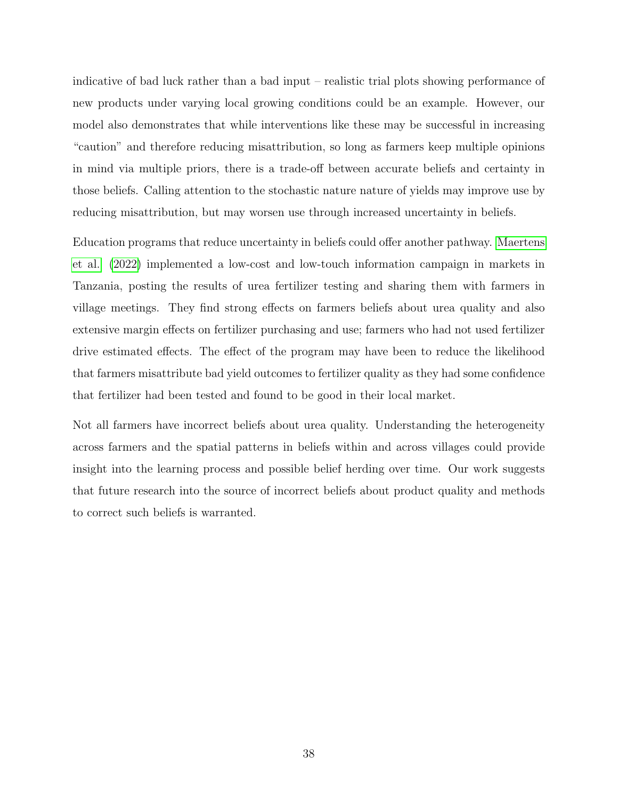indicative of bad luck rather than a bad input – realistic trial plots showing performance of new products under varying local growing conditions could be an example. However, our model also demonstrates that while interventions like these may be successful in increasing "caution" and therefore reducing misattribution, so long as farmers keep multiple opinions in mind via multiple priors, there is a trade-off between accurate beliefs and certainty in those beliefs. Calling attention to the stochastic nature nature of yields may improve use by reducing misattribution, but may worsen use through increased uncertainty in beliefs.

Education programs that reduce uncertainty in beliefs could offer another pathway. [Maertens](#page-41-5) [et al. \(2022\)](#page-41-5) implemented a low-cost and low-touch information campaign in markets in Tanzania, posting the results of urea fertilizer testing and sharing them with farmers in village meetings. They find strong effects on farmers beliefs about urea quality and also extensive margin effects on fertilizer purchasing and use; farmers who had not used fertilizer drive estimated effects. The effect of the program may have been to reduce the likelihood that farmers misattribute bad yield outcomes to fertilizer quality as they had some confidence that fertilizer had been tested and found to be good in their local market.

Not all farmers have incorrect beliefs about urea quality. Understanding the heterogeneity across farmers and the spatial patterns in beliefs within and across villages could provide insight into the learning process and possible belief herding over time. Our work suggests that future research into the source of incorrect beliefs about product quality and methods to correct such beliefs is warranted.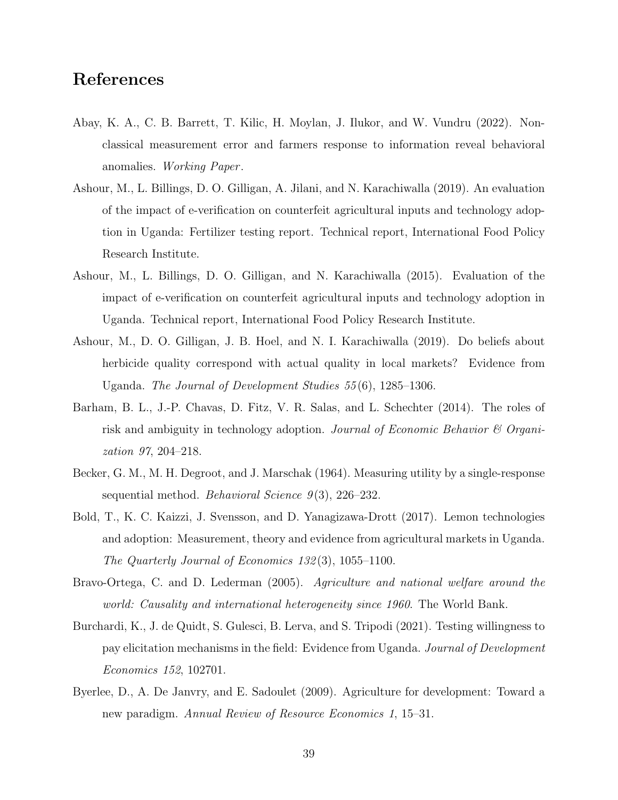# References

- <span id="page-38-9"></span>Abay, K. A., C. B. Barrett, T. Kilic, H. Moylan, J. Ilukor, and W. Vundru (2022). Nonclassical measurement error and farmers response to information reveal behavioral anomalies. Working Paper .
- <span id="page-38-4"></span>Ashour, M., L. Billings, D. O. Gilligan, A. Jilani, and N. Karachiwalla (2019). An evaluation of the impact of e-verification on counterfeit agricultural inputs and technology adoption in Uganda: Fertilizer testing report. Technical report, International Food Policy Research Institute.
- <span id="page-38-3"></span>Ashour, M., L. Billings, D. O. Gilligan, and N. Karachiwalla (2015). Evaluation of the impact of e-verification on counterfeit agricultural inputs and technology adoption in Uganda. Technical report, International Food Policy Research Institute.
- <span id="page-38-7"></span>Ashour, M., D. O. Gilligan, J. B. Hoel, and N. I. Karachiwalla (2019). Do beliefs about herbicide quality correspond with actual quality in local markets? Evidence from Uganda. The Journal of Development Studies 55 (6), 1285–1306.
- <span id="page-38-6"></span>Barham, B. L., J.-P. Chavas, D. Fitz, V. R. Salas, and L. Schechter (2014). The roles of risk and ambiguity in technology adoption. Journal of Economic Behavior & Organization 97, 204–218.
- <span id="page-38-5"></span>Becker, G. M., M. H. Degroot, and J. Marschak (1964). Measuring utility by a single-response sequential method. *Behavioral Science*  $9(3)$ , 226–232.
- <span id="page-38-2"></span>Bold, T., K. C. Kaizzi, J. Svensson, and D. Yanagizawa-Drott (2017). Lemon technologies and adoption: Measurement, theory and evidence from agricultural markets in Uganda. The Quarterly Journal of Economics 132 (3), 1055–1100.
- <span id="page-38-1"></span>Bravo-Ortega, C. and D. Lederman (2005). Agriculture and national welfare around the world: Causality and international heterogeneity since 1960. The World Bank.
- <span id="page-38-8"></span>Burchardi, K., J. de Quidt, S. Gulesci, B. Lerva, and S. Tripodi (2021). Testing willingness to pay elicitation mechanisms in the field: Evidence from Uganda. Journal of Development Economics 152, 102701.
- <span id="page-38-0"></span>Byerlee, D., A. De Janvry, and E. Sadoulet (2009). Agriculture for development: Toward a new paradigm. Annual Review of Resource Economics 1, 15–31.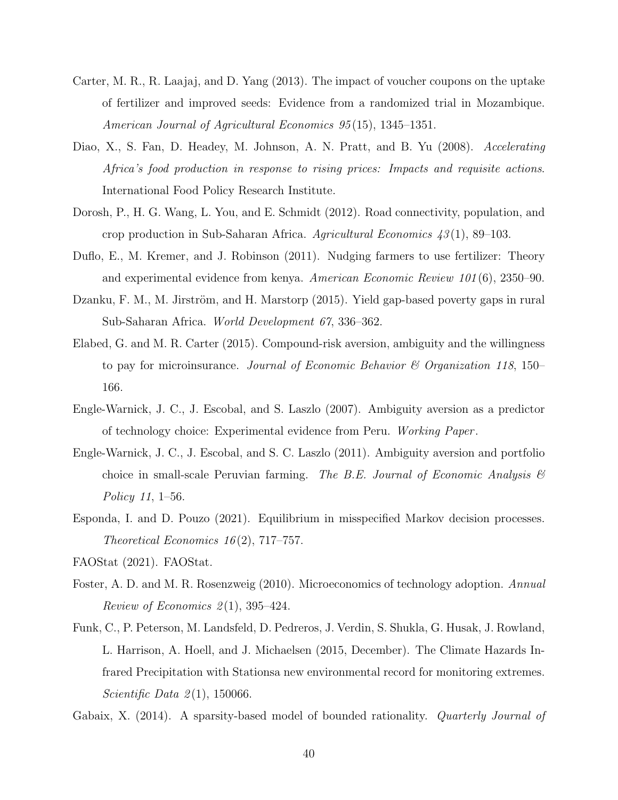- <span id="page-39-2"></span>Carter, M. R., R. Laajaj, and D. Yang (2013). The impact of voucher coupons on the uptake of fertilizer and improved seeds: Evidence from a randomized trial in Mozambique. American Journal of Agricultural Economics 95 (15), 1345–1351.
- <span id="page-39-9"></span>Diao, X., S. Fan, D. Headey, M. Johnson, A. N. Pratt, and B. Yu (2008). Accelerating Africa's food production in response to rising prices: Impacts and requisite actions. International Food Policy Research Institute.
- <span id="page-39-8"></span>Dorosh, P., H. G. Wang, L. You, and E. Schmidt (2012). Road connectivity, population, and crop production in Sub-Saharan Africa. Agricultural Economics  $43(1)$ , 89–103.
- <span id="page-39-3"></span>Duflo, E., M. Kremer, and J. Robinson (2011). Nudging farmers to use fertilizer: Theory and experimental evidence from kenya. American Economic Review 101 (6), 2350–90.
- <span id="page-39-7"></span>Dzanku, F. M., M. Jirström, and H. Marstorp (2015). Yield gap-based poverty gaps in rural Sub-Saharan Africa. World Development 67, 336–362.
- <span id="page-39-4"></span>Elabed, G. and M. R. Carter (2015). Compound-risk aversion, ambiguity and the willingness to pay for microinsurance. Journal of Economic Behavior  $\mathcal C$  Organization 118, 150– 166.
- <span id="page-39-5"></span>Engle-Warnick, J. C., J. Escobal, and S. Laszlo (2007). Ambiguity aversion as a predictor of technology choice: Experimental evidence from Peru. Working Paper .
- <span id="page-39-6"></span>Engle-Warnick, J. C., J. Escobal, and S. C. Laszlo (2011). Ambiguity aversion and portfolio choice in small-scale Peruvian farming. The B.E. Journal of Economic Analysis  $\mathcal{C}$ Policy 11, 1–56.
- <span id="page-39-10"></span>Esponda, I. and D. Pouzo (2021). Equilibrium in misspecified Markov decision processes. Theoretical Economics  $16(2)$ , 717–757.
- <span id="page-39-1"></span><span id="page-39-0"></span>FAOStat (2021). FAOStat.
- Foster, A. D. and M. R. Rosenzweig (2010). Microeconomics of technology adoption. Annual Review of Economics  $2(1)$ , 395-424.
- <span id="page-39-12"></span>Funk, C., P. Peterson, M. Landsfeld, D. Pedreros, J. Verdin, S. Shukla, G. Husak, J. Rowland, L. Harrison, A. Hoell, and J. Michaelsen (2015, December). The Climate Hazards Infrared Precipitation with Stationsa new environmental record for monitoring extremes. Scientific Data  $2(1)$ , 150066.
- <span id="page-39-11"></span>Gabaix, X. (2014). A sparsity-based model of bounded rationality. *Quarterly Journal of*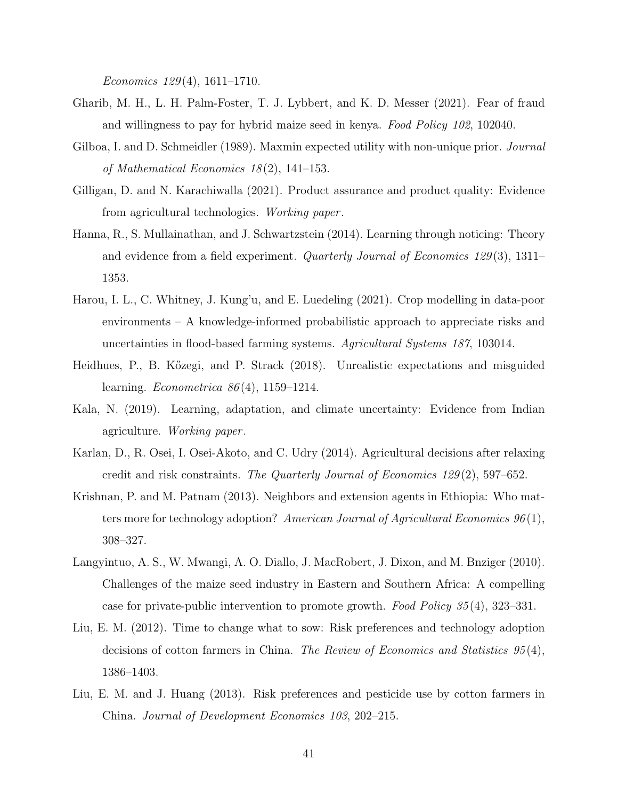Economics  $129(4)$ , 1611–1710.

- <span id="page-40-3"></span>Gharib, M. H., L. H. Palm-Foster, T. J. Lybbert, and K. D. Messer (2021). Fear of fraud and willingness to pay for hybrid maize seed in kenya. Food Policy 102, 102040.
- <span id="page-40-7"></span>Gilboa, I. and D. Schmeidler (1989). Maxmin expected utility with non-unique prior. *Journal* of Mathematical Economics 18 (2), 141–153.
- <span id="page-40-9"></span>Gilligan, D. and N. Karachiwalla (2021). Product assurance and product quality: Evidence from agricultural technologies. Working paper .
- <span id="page-40-11"></span>Hanna, R., S. Mullainathan, and J. Schwartzstein (2014). Learning through noticing: Theory and evidence from a field experiment. Quarterly Journal of Economics 129 (3), 1311– 1353.
- <span id="page-40-8"></span>Harou, I. L., C. Whitney, J. Kung'u, and E. Luedeling (2021). Crop modelling in data-poor environments – A knowledge-informed probabilistic approach to appreciate risks and uncertainties in flood-based farming systems. Agricultural Systems 187, 103014.
- <span id="page-40-10"></span>Heidhues, P., B. Kőzegi, and P. Strack (2018). Unrealistic expectations and misguided learning. Econometrica 86 (4), 1159–1214.
- <span id="page-40-6"></span>Kala, N. (2019). Learning, adaptation, and climate uncertainty: Evidence from Indian agriculture. *Working paper*.
- <span id="page-40-1"></span>Karlan, D., R. Osei, I. Osei-Akoto, and C. Udry (2014). Agricultural decisions after relaxing credit and risk constraints. The Quarterly Journal of Economics 129 (2), 597–652.
- <span id="page-40-0"></span>Krishnan, P. and M. Patnam (2013). Neighbors and extension agents in Ethiopia: Who matters more for technology adoption? American Journal of Agricultural Economics  $96(1)$ , 308–327.
- <span id="page-40-2"></span>Langyintuo, A. S., W. Mwangi, A. O. Diallo, J. MacRobert, J. Dixon, and M. Bnziger (2010). Challenges of the maize seed industry in Eastern and Southern Africa: A compelling case for private-public intervention to promote growth. Food Policy 35 (4), 323–331.
- <span id="page-40-5"></span>Liu, E. M. (2012). Time to change what to sow: Risk preferences and technology adoption decisions of cotton farmers in China. The Review of Economics and Statistics 95 (4), 1386–1403.
- <span id="page-40-4"></span>Liu, E. M. and J. Huang (2013). Risk preferences and pesticide use by cotton farmers in China. Journal of Development Economics 103, 202–215.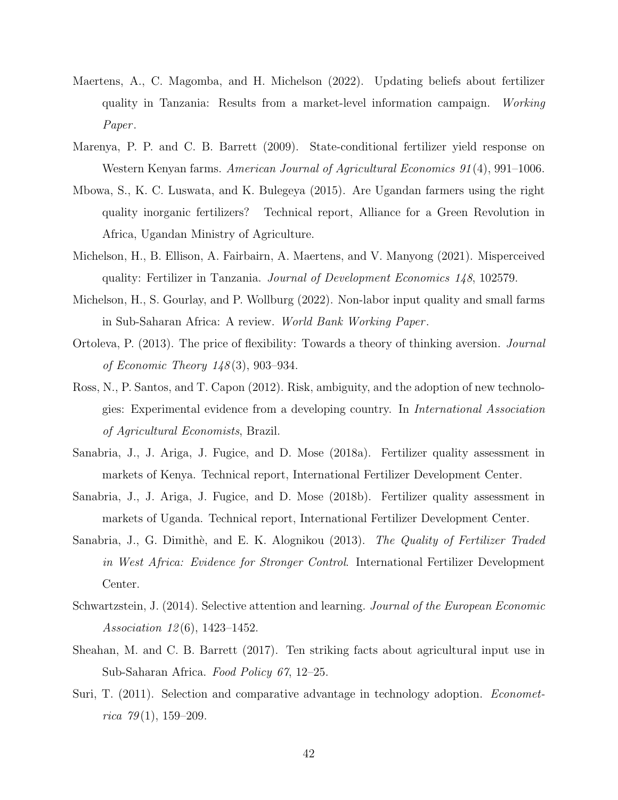- <span id="page-41-5"></span>Maertens, A., C. Magomba, and H. Michelson (2022). Updating beliefs about fertilizer quality in Tanzania: Results from a market-level information campaign. Working Paper.
- <span id="page-41-0"></span>Marenya, P. P. and C. B. Barrett (2009). State-conditional fertilizer yield response on Western Kenyan farms. American Journal of Agricultural Economics 91(4), 991–1006.
- <span id="page-41-10"></span>Mbowa, S., K. C. Luswata, and K. Bulegeya (2015). Are Ugandan farmers using the right quality inorganic fertilizers? Technical report, Alliance for a Green Revolution in Africa, Ugandan Ministry of Agriculture.
- <span id="page-41-3"></span>Michelson, H., B. Ellison, A. Fairbairn, A. Maertens, and V. Manyong (2021). Misperceived quality: Fertilizer in Tanzania. Journal of Development Economics 148, 102579.
- <span id="page-41-4"></span>Michelson, H., S. Gourlay, and P. Wollburg (2022). Non-labor input quality and small farms in Sub-Saharan Africa: A review. World Bank Working Paper .
- <span id="page-41-11"></span>Ortoleva, P. (2013). The price of flexibility: Towards a theory of thinking aversion. Journal of Economic Theory 148 (3), 903–934.
- <span id="page-41-8"></span>Ross, N., P. Santos, and T. Capon (2012). Risk, ambiguity, and the adoption of new technologies: Experimental evidence from a developing country. In International Association of Agricultural Economists, Brazil.
- <span id="page-41-6"></span>Sanabria, J., J. Ariga, J. Fugice, and D. Mose (2018a). Fertilizer quality assessment in markets of Kenya. Technical report, International Fertilizer Development Center.
- <span id="page-41-7"></span>Sanabria, J., J. Ariga, J. Fugice, and D. Mose (2018b). Fertilizer quality assessment in markets of Uganda. Technical report, International Fertilizer Development Center.
- <span id="page-41-2"></span>Sanabria, J., G. Dimithè, and E. K. Alognikou (2013). The Quality of Fertilizer Traded in West Africa: Evidence for Stronger Control. International Fertilizer Development Center.
- <span id="page-41-12"></span>Schwartzstein, J. (2014). Selective attention and learning. Journal of the European Economic Association  $12(6)$ , 1423-1452.
- <span id="page-41-9"></span>Sheahan, M. and C. B. Barrett (2017). Ten striking facts about agricultural input use in Sub-Saharan Africa. Food Policy 67, 12–25.
- <span id="page-41-1"></span>Suri, T. (2011). Selection and comparative advantage in technology adoption. *Economet*rica  $79(1)$ , 159-209.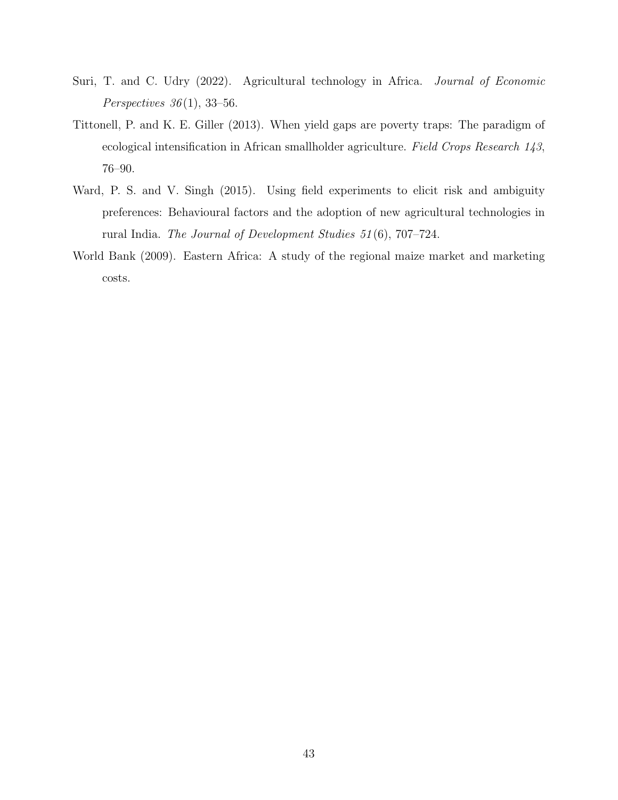- <span id="page-42-0"></span>Suri, T. and C. Udry (2022). Agricultural technology in Africa. Journal of Economic Perspectives  $36(1)$ , 33-56.
- <span id="page-42-2"></span>Tittonell, P. and K. E. Giller (2013). When yield gaps are poverty traps: The paradigm of ecological intensification in African smallholder agriculture. Field Crops Research 143, 76–90.
- <span id="page-42-1"></span>Ward, P. S. and V. Singh (2015). Using field experiments to elicit risk and ambiguity preferences: Behavioural factors and the adoption of new agricultural technologies in rural India. The Journal of Development Studies 51 (6), 707–724.
- <span id="page-42-3"></span>World Bank (2009). Eastern Africa: A study of the regional maize market and marketing costs.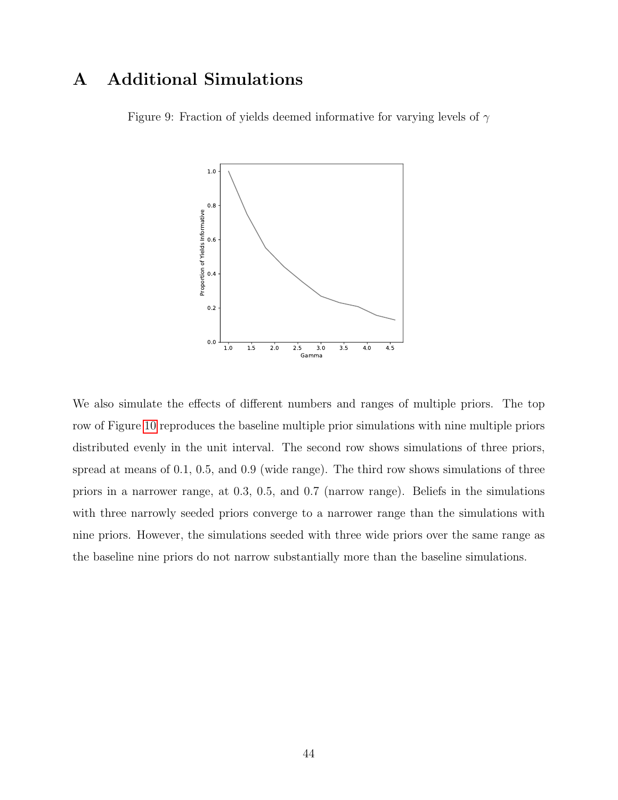# <span id="page-43-0"></span>A Additional Simulations

Figure 9: Fraction of yields deemed informative for varying levels of  $\gamma$ 



We also simulate the effects of different numbers and ranges of multiple priors. The top row of Figure [10](#page-44-0) reproduces the baseline multiple prior simulations with nine multiple priors distributed evenly in the unit interval. The second row shows simulations of three priors, spread at means of 0.1, 0.5, and 0.9 (wide range). The third row shows simulations of three priors in a narrower range, at 0.3, 0.5, and 0.7 (narrow range). Beliefs in the simulations with three narrowly seeded priors converge to a narrower range than the simulations with nine priors. However, the simulations seeded with three wide priors over the same range as the baseline nine priors do not narrow substantially more than the baseline simulations.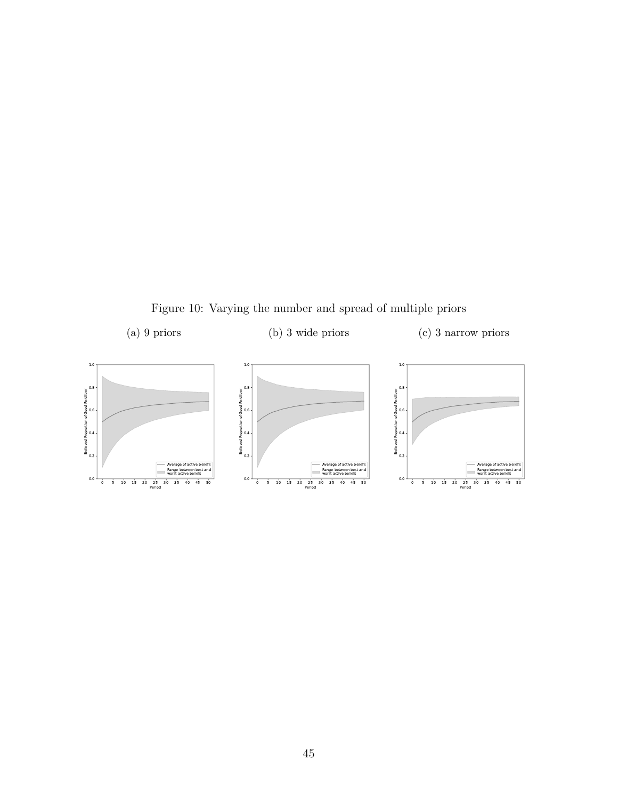Figure 10: Varying the number and spread of multiple priors

<span id="page-44-0"></span>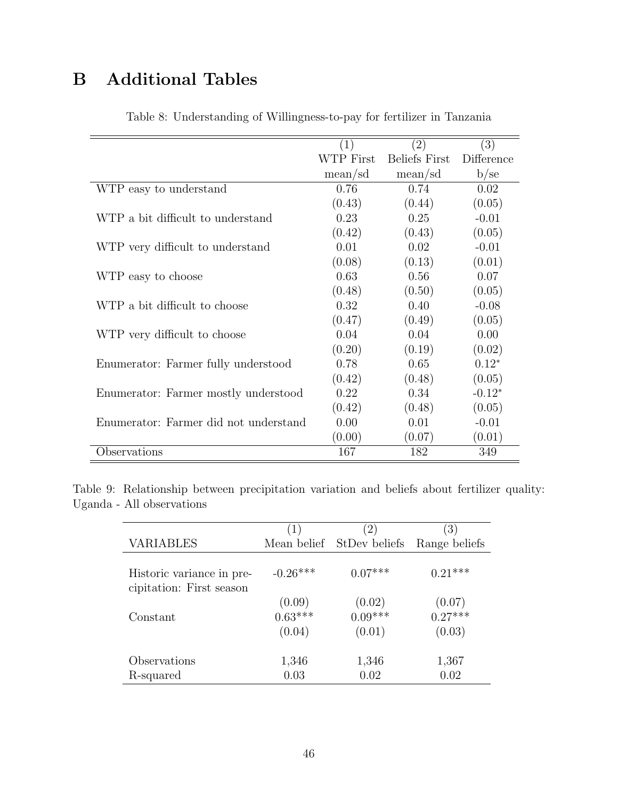# <span id="page-45-0"></span>B Additional Tables

|                                       | (1)       | (2)                  | (3)        |
|---------------------------------------|-----------|----------------------|------------|
|                                       | WTP First | <b>Beliefs First</b> | Difference |
|                                       | mean/sd   | mean/sd              | b/se       |
| WTP easy to understand                | 0.76      | 0.74                 | 0.02       |
|                                       | (0.43)    | (0.44)               | (0.05)     |
| WTP a bit difficult to understand     | 0.23      | 0.25                 | $-0.01$    |
|                                       | (0.42)    | (0.43)               | (0.05)     |
| WTP very difficult to understand      | 0.01      | 0.02                 | $-0.01$    |
|                                       | (0.08)    | (0.13)               | (0.01)     |
| WTP easy to choose                    | 0.63      | 0.56                 | 0.07       |
|                                       | (0.48)    | (0.50)               | (0.05)     |
| WTP a bit difficult to choose         | 0.32      | 0.40                 | $-0.08$    |
|                                       | (0.47)    | (0.49)               | (0.05)     |
| WTP very difficult to choose          | 0.04      | 0.04                 | 0.00       |
|                                       | (0.20)    | (0.19)               | (0.02)     |
| Enumerator: Farmer fully understood   | 0.78      | 0.65                 | $0.12*$    |
|                                       | (0.42)    | (0.48)               | (0.05)     |
| Enumerator: Farmer mostly understood  | 0.22      | 0.34                 | $-0.12*$   |
|                                       | (0.42)    | (0.48)               | (0.05)     |
| Enumerator: Farmer did not understand | 0.00      | 0.01                 | $-0.01$    |
|                                       | (0.00)    | (0.07)               | (0.01)     |
| Observations                          | 167       | 182                  | 349        |

Table 8: Understanding of Willingness-to-pay for fertilizer in Tanzania

Table 9: Relationship between precipitation variation and beliefs about fertilizer quality: Uganda - All observations

|                                                       | $\perp$                       | 2)                            | 3)                            |
|-------------------------------------------------------|-------------------------------|-------------------------------|-------------------------------|
| VARIABLES                                             | Mean belief                   | StDev beliefs                 | Range beliefs                 |
| Historic variance in pre-<br>cipitation: First season | $-0.26***$                    | $0.07***$                     | $0.21***$                     |
| Constant                                              | (0.09)<br>$0.63***$<br>(0.04) | (0.02)<br>$0.09***$<br>(0.01) | (0.07)<br>$0.27***$<br>(0.03) |
| Observations<br>R-squared                             | 1,346<br>0.03                 | 1,346<br>0.02                 | 1,367<br>0.02                 |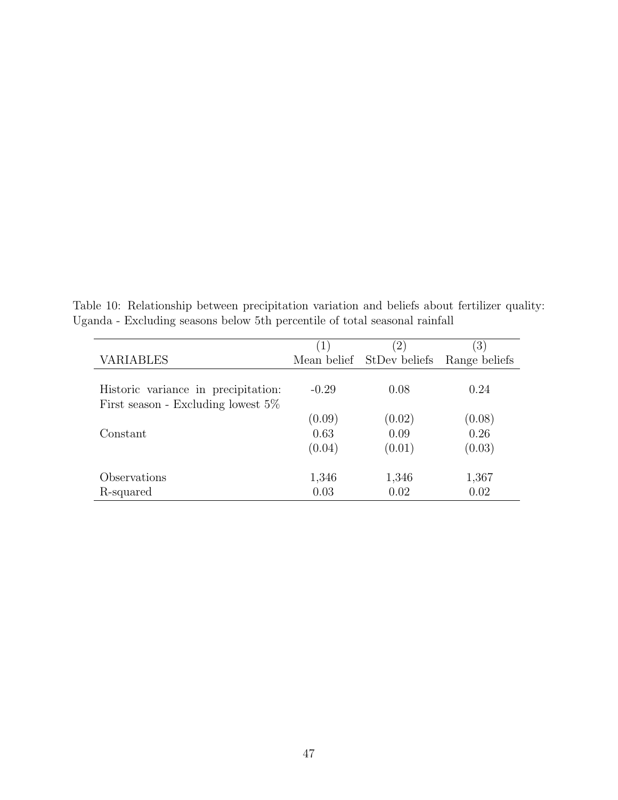Table 10: Relationship between precipitation variation and beliefs about fertilizer quality: Uganda - Excluding seasons below 5th percentile of total seasonal rainfall

|                                       | $\left(1\right)$ | 2)                        | $\left(3\right)$ |
|---------------------------------------|------------------|---------------------------|------------------|
| <b>VARIABLES</b>                      |                  | Mean belief StDev beliefs | Range beliefs    |
| Historic variance in precipitation:   | $-0.29$          | 0.08                      | 0.24             |
| First season - Excluding lowest $5\%$ | (0.09)           | (0.02)                    | (0.08)           |
| Constant                              | 0.63             | 0.09                      | 0.26             |
|                                       | (0.04)           | (0.01)                    | (0.03)           |
| Observations                          | 1,346            | 1,346                     | 1,367            |
| R-squared                             | 0.03             | 0.02                      | 0.02             |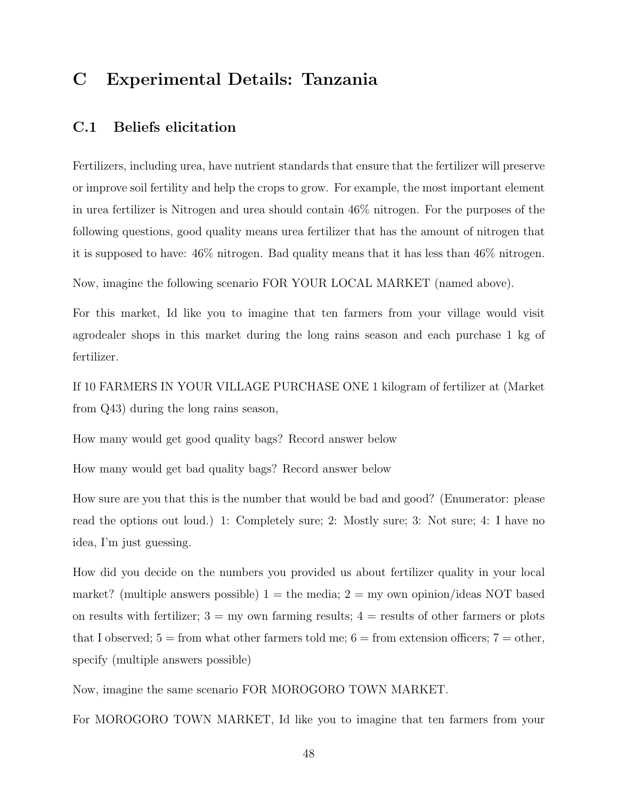# <span id="page-47-0"></span>C Experimental Details: Tanzania

### C.1 Beliefs elicitation

Fertilizers, including urea, have nutrient standards that ensure that the fertilizer will preserve or improve soil fertility and help the crops to grow. For example, the most important element in urea fertilizer is Nitrogen and urea should contain 46% nitrogen. For the purposes of the following questions, good quality means urea fertilizer that has the amount of nitrogen that it is supposed to have: 46% nitrogen. Bad quality means that it has less than 46% nitrogen.

Now, imagine the following scenario FOR YOUR LOCAL MARKET (named above).

For this market, Id like you to imagine that ten farmers from your village would visit agrodealer shops in this market during the long rains season and each purchase 1 kg of fertilizer.

If 10 FARMERS IN YOUR VILLAGE PURCHASE ONE 1 kilogram of fertilizer at (Market from Q43) during the long rains season,

How many would get good quality bags? Record answer below

How many would get bad quality bags? Record answer below

How sure are you that this is the number that would be bad and good? (Enumerator: please read the options out loud.) 1: Completely sure; 2: Mostly sure; 3: Not sure; 4: I have no idea, I'm just guessing.

How did you decide on the numbers you provided us about fertilizer quality in your local market? (multiple answers possible)  $1 =$  the media;  $2 =$  my own opinion/ideas NOT based on results with fertilizer;  $3 = \text{my own farming results}$ ;  $4 = \text{results of other farmers or plots}$ that I observed;  $5 =$  from what other farmers told me;  $6 =$  from extension officers;  $7 =$  other, specify (multiple answers possible)

Now, imagine the same scenario FOR MOROGORO TOWN MARKET.

For MOROGORO TOWN MARKET, Id like you to imagine that ten farmers from your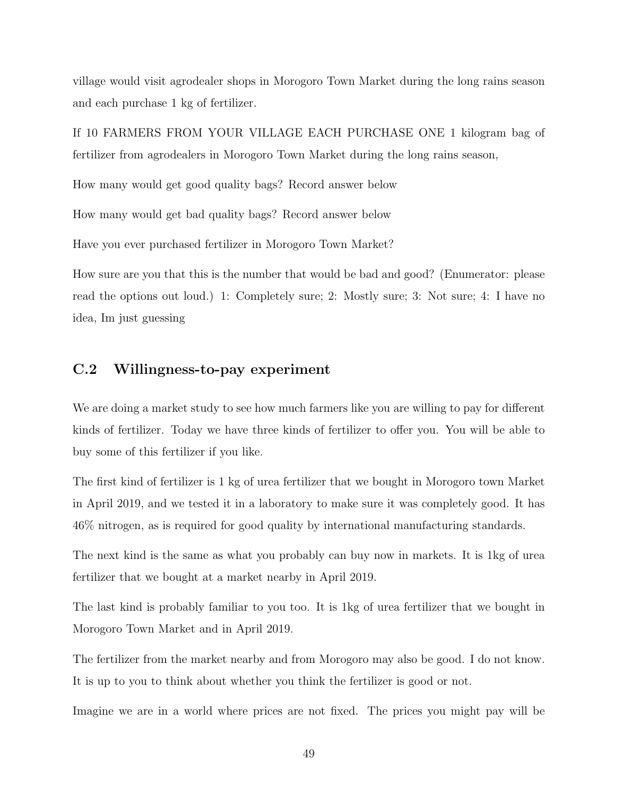village would visit agrodealer shops in Morogoro Town Market during the long rains season and each purchase 1 kg of fertilizer.

If 10 FARMERS FROM YOUR VILLAGE EACH PURCHASE ONE 1 kilogram bag of fertilizer from agrodealers in Morogoro Town Market during the long rains season,

How many would get good quality bags? Record answer below

How many would get bad quality bags? Record answer below

Have you ever purchased fertilizer in Morogoro Town Market?

How sure are you that this is the number that would be bad and good? (Enumerator: please read the options out loud.) 1: Completely sure; 2: Mostly sure; 3: Not sure; 4: I have no idea, Im just guessing

### C.2 Willingness-to-pay experiment

We are doing a market study to see how much farmers like you are willing to pay for different kinds of fertilizer. Today we have three kinds of fertilizer to offer you. You will be able to buy some of this fertilizer if you like.

The first kind of fertilizer is 1 kg of urea fertilizer that we bought in Morogoro town Market in April 2019, and we tested it in a laboratory to make sure it was completely good. It has 46% nitrogen, as is required for good quality by international manufacturing standards.

The next kind is the same as what you probably can buy now in markets. It is 1kg of urea fertilizer that we bought at a market nearby in April 2019.

The last kind is probably familiar to you too. It is 1kg of urea fertilizer that we bought in Morogoro Town Market and in April 2019.

The fertilizer from the market nearby and from Morogoro may also be good. I do not know. It is up to you to think about whether you think the fertilizer is good or not.

Imagine we are in a world where prices are not fixed. The prices you might pay will be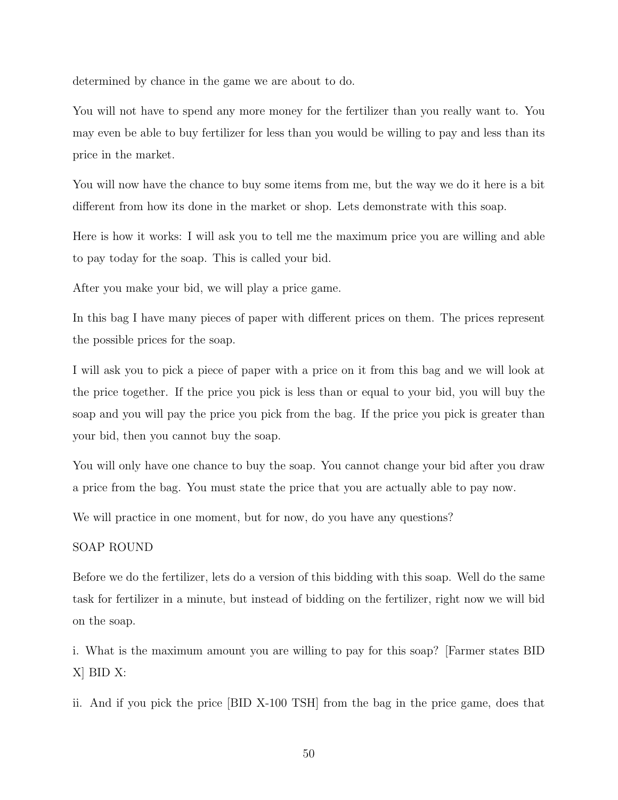determined by chance in the game we are about to do.

You will not have to spend any more money for the fertilizer than you really want to. You may even be able to buy fertilizer for less than you would be willing to pay and less than its price in the market.

You will now have the chance to buy some items from me, but the way we do it here is a bit different from how its done in the market or shop. Lets demonstrate with this soap.

Here is how it works: I will ask you to tell me the maximum price you are willing and able to pay today for the soap. This is called your bid.

After you make your bid, we will play a price game.

In this bag I have many pieces of paper with different prices on them. The prices represent the possible prices for the soap.

I will ask you to pick a piece of paper with a price on it from this bag and we will look at the price together. If the price you pick is less than or equal to your bid, you will buy the soap and you will pay the price you pick from the bag. If the price you pick is greater than your bid, then you cannot buy the soap.

You will only have one chance to buy the soap. You cannot change your bid after you draw a price from the bag. You must state the price that you are actually able to pay now.

We will practice in one moment, but for now, do you have any questions?

#### SOAP ROUND

Before we do the fertilizer, lets do a version of this bidding with this soap. Well do the same task for fertilizer in a minute, but instead of bidding on the fertilizer, right now we will bid on the soap.

i. What is the maximum amount you are willing to pay for this soap? [Farmer states BID X] BID X:

ii. And if you pick the price [BID X-100 TSH] from the bag in the price game, does that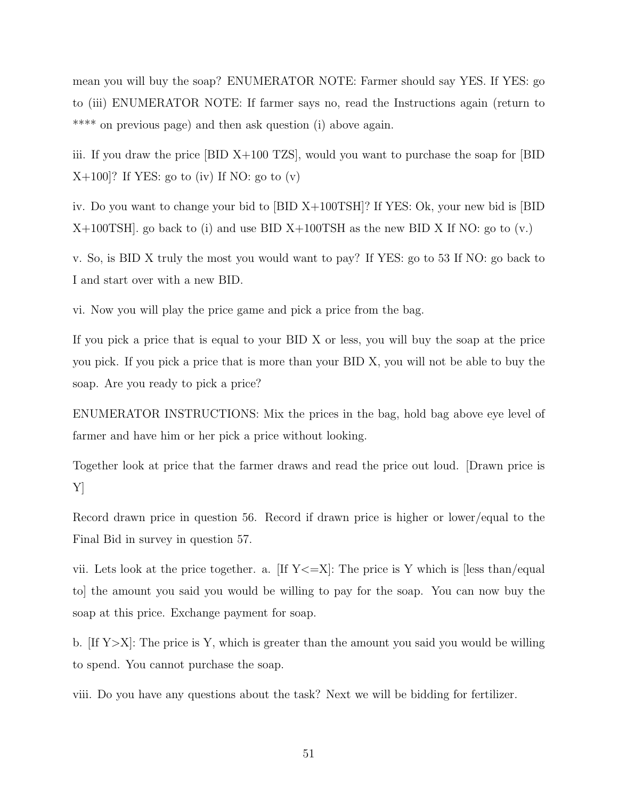mean you will buy the soap? ENUMERATOR NOTE: Farmer should say YES. If YES: go to (iii) ENUMERATOR NOTE: If farmer says no, read the Instructions again (return to \*\*\*\* on previous page) and then ask question (i) above again.

iii. If you draw the price [BID X+100 TZS], would you want to purchase the soap for [BID  $X+100$ ? If YES: go to (iv) If NO: go to (v)

iv. Do you want to change your bid to [BID X+100TSH]? If YES: Ok, your new bid is [BID  $X+100TSH$ , go back to (i) and use BID  $X+100TSH$  as the new BID X If NO: go to (v.)

v. So, is BID X truly the most you would want to pay? If YES: go to 53 If NO: go back to I and start over with a new BID.

vi. Now you will play the price game and pick a price from the bag.

If you pick a price that is equal to your BID X or less, you will buy the soap at the price you pick. If you pick a price that is more than your BID X, you will not be able to buy the soap. Are you ready to pick a price?

ENUMERATOR INSTRUCTIONS: Mix the prices in the bag, hold bag above eye level of farmer and have him or her pick a price without looking.

Together look at price that the farmer draws and read the price out loud. [Drawn price is Y]

Record drawn price in question 56. Record if drawn price is higher or lower/equal to the Final Bid in survey in question 57.

vii. Lets look at the price together. a. [If  $Y \leq X$ ]: The price is Y which is [less than/equal to] the amount you said you would be willing to pay for the soap. You can now buy the soap at this price. Exchange payment for soap.

b. [If Y>X]: The price is Y, which is greater than the amount you said you would be willing to spend. You cannot purchase the soap.

viii. Do you have any questions about the task? Next we will be bidding for fertilizer.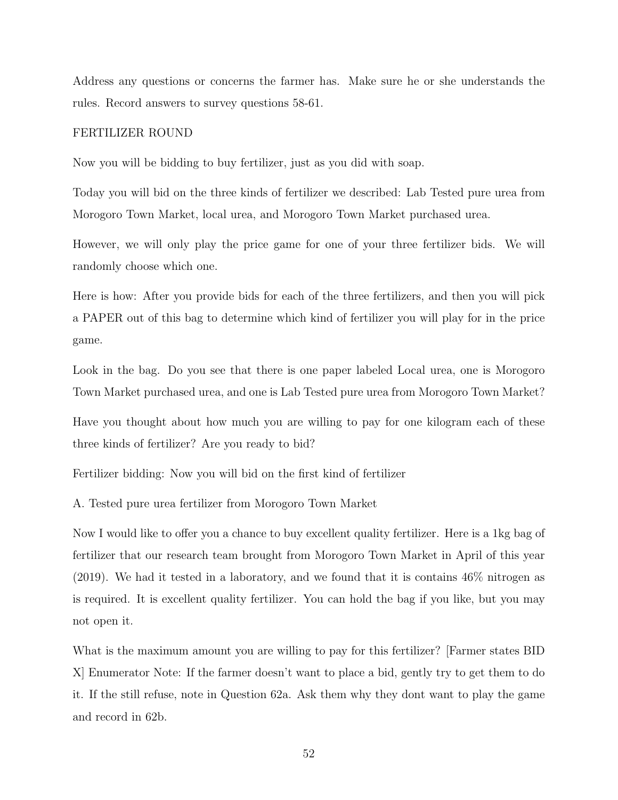Address any questions or concerns the farmer has. Make sure he or she understands the rules. Record answers to survey questions 58-61.

#### FERTILIZER ROUND

Now you will be bidding to buy fertilizer, just as you did with soap.

Today you will bid on the three kinds of fertilizer we described: Lab Tested pure urea from Morogoro Town Market, local urea, and Morogoro Town Market purchased urea.

However, we will only play the price game for one of your three fertilizer bids. We will randomly choose which one.

Here is how: After you provide bids for each of the three fertilizers, and then you will pick a PAPER out of this bag to determine which kind of fertilizer you will play for in the price game.

Look in the bag. Do you see that there is one paper labeled Local urea, one is Morogoro Town Market purchased urea, and one is Lab Tested pure urea from Morogoro Town Market?

Have you thought about how much you are willing to pay for one kilogram each of these three kinds of fertilizer? Are you ready to bid?

Fertilizer bidding: Now you will bid on the first kind of fertilizer

A. Tested pure urea fertilizer from Morogoro Town Market

Now I would like to offer you a chance to buy excellent quality fertilizer. Here is a 1kg bag of fertilizer that our research team brought from Morogoro Town Market in April of this year (2019). We had it tested in a laboratory, and we found that it is contains 46% nitrogen as is required. It is excellent quality fertilizer. You can hold the bag if you like, but you may not open it.

What is the maximum amount you are willing to pay for this fertilizer? [Farmer states BID X] Enumerator Note: If the farmer doesn't want to place a bid, gently try to get them to do it. If the still refuse, note in Question 62a. Ask them why they dont want to play the game and record in 62b.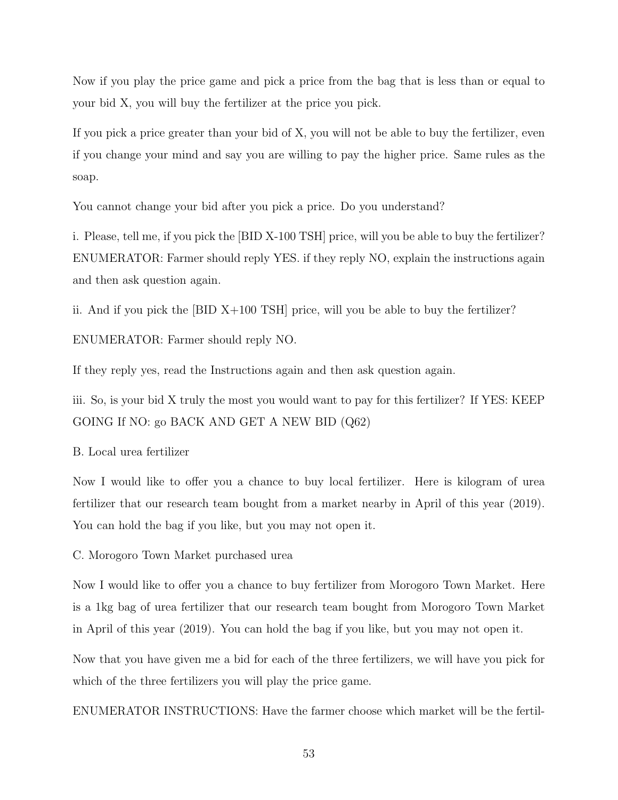Now if you play the price game and pick a price from the bag that is less than or equal to your bid X, you will buy the fertilizer at the price you pick.

If you pick a price greater than your bid of X, you will not be able to buy the fertilizer, even if you change your mind and say you are willing to pay the higher price. Same rules as the soap.

You cannot change your bid after you pick a price. Do you understand?

i. Please, tell me, if you pick the [BID X-100 TSH] price, will you be able to buy the fertilizer? ENUMERATOR: Farmer should reply YES. if they reply NO, explain the instructions again and then ask question again.

ii. And if you pick the [BID X+100 TSH] price, will you be able to buy the fertilizer?

ENUMERATOR: Farmer should reply NO.

If they reply yes, read the Instructions again and then ask question again.

iii. So, is your bid X truly the most you would want to pay for this fertilizer? If YES: KEEP GOING If NO: go BACK AND GET A NEW BID (Q62)

B. Local urea fertilizer

Now I would like to offer you a chance to buy local fertilizer. Here is kilogram of urea fertilizer that our research team bought from a market nearby in April of this year (2019). You can hold the bag if you like, but you may not open it.

C. Morogoro Town Market purchased urea

Now I would like to offer you a chance to buy fertilizer from Morogoro Town Market. Here is a 1kg bag of urea fertilizer that our research team bought from Morogoro Town Market in April of this year (2019). You can hold the bag if you like, but you may not open it.

Now that you have given me a bid for each of the three fertilizers, we will have you pick for which of the three fertilizers you will play the price game.

ENUMERATOR INSTRUCTIONS: Have the farmer choose which market will be the fertil-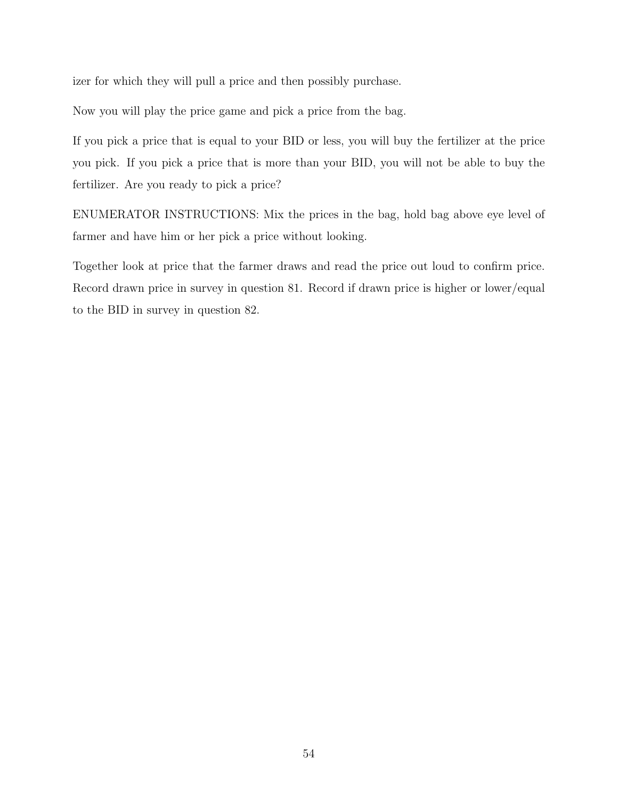izer for which they will pull a price and then possibly purchase.

Now you will play the price game and pick a price from the bag.

If you pick a price that is equal to your BID or less, you will buy the fertilizer at the price you pick. If you pick a price that is more than your BID, you will not be able to buy the fertilizer. Are you ready to pick a price?

ENUMERATOR INSTRUCTIONS: Mix the prices in the bag, hold bag above eye level of farmer and have him or her pick a price without looking.

Together look at price that the farmer draws and read the price out loud to confirm price. Record drawn price in survey in question 81. Record if drawn price is higher or lower/equal to the BID in survey in question 82.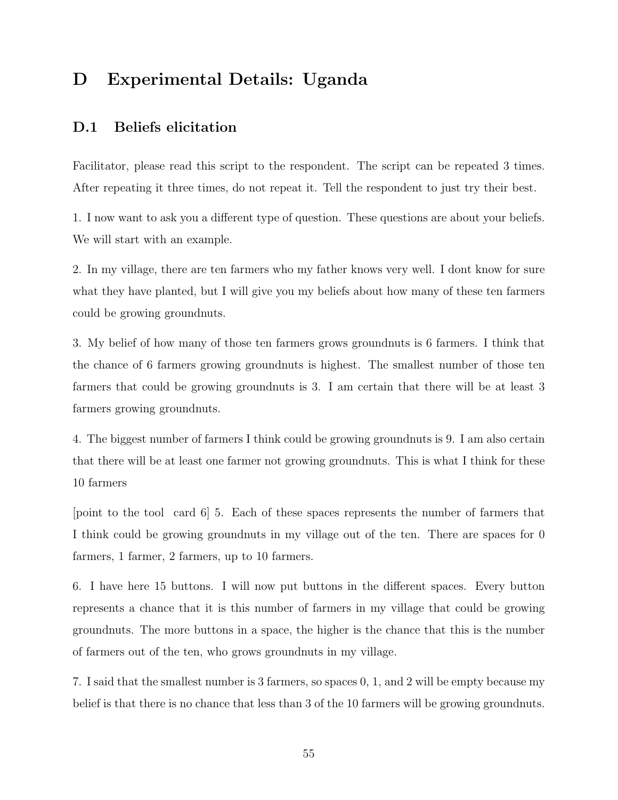# <span id="page-54-0"></span>D Experimental Details: Uganda

### D.1 Beliefs elicitation

Facilitator, please read this script to the respondent. The script can be repeated 3 times. After repeating it three times, do not repeat it. Tell the respondent to just try their best.

1. I now want to ask you a different type of question. These questions are about your beliefs. We will start with an example.

2. In my village, there are ten farmers who my father knows very well. I dont know for sure what they have planted, but I will give you my beliefs about how many of these ten farmers could be growing groundnuts.

3. My belief of how many of those ten farmers grows groundnuts is 6 farmers. I think that the chance of 6 farmers growing groundnuts is highest. The smallest number of those ten farmers that could be growing groundnuts is 3. I am certain that there will be at least 3 farmers growing groundnuts.

4. The biggest number of farmers I think could be growing groundnuts is 9. I am also certain that there will be at least one farmer not growing groundnuts. This is what I think for these 10 farmers

[point to the tool card 6] 5. Each of these spaces represents the number of farmers that I think could be growing groundnuts in my village out of the ten. There are spaces for 0 farmers, 1 farmer, 2 farmers, up to 10 farmers.

6. I have here 15 buttons. I will now put buttons in the different spaces. Every button represents a chance that it is this number of farmers in my village that could be growing groundnuts. The more buttons in a space, the higher is the chance that this is the number of farmers out of the ten, who grows groundnuts in my village.

7. I said that the smallest number is 3 farmers, so spaces 0, 1, and 2 will be empty because my belief is that there is no chance that less than 3 of the 10 farmers will be growing groundnuts.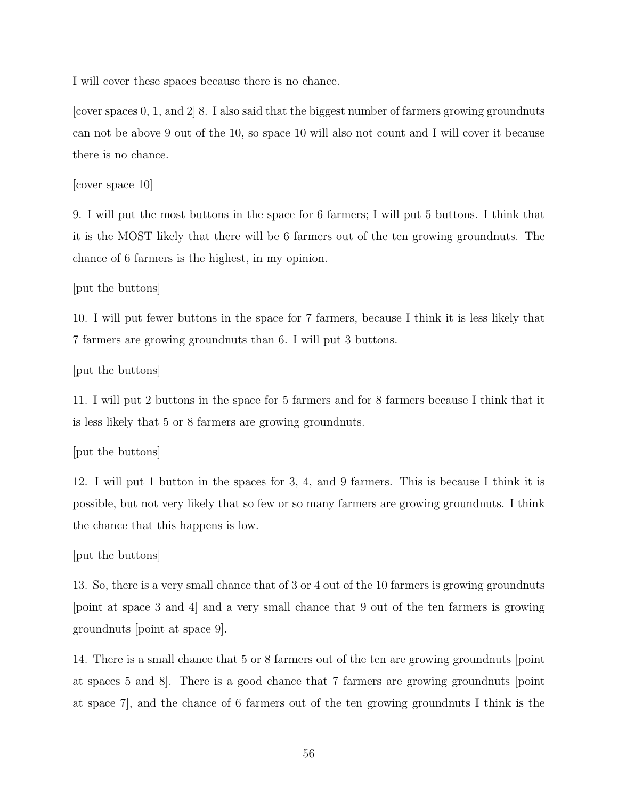I will cover these spaces because there is no chance.

[cover spaces 0, 1, and 2] 8. I also said that the biggest number of farmers growing groundnuts can not be above 9 out of the 10, so space 10 will also not count and I will cover it because there is no chance.

[cover space 10]

9. I will put the most buttons in the space for 6 farmers; I will put 5 buttons. I think that it is the MOST likely that there will be 6 farmers out of the ten growing groundnuts. The chance of 6 farmers is the highest, in my opinion.

[put the buttons]

10. I will put fewer buttons in the space for 7 farmers, because I think it is less likely that 7 farmers are growing groundnuts than 6. I will put 3 buttons.

[put the buttons]

11. I will put 2 buttons in the space for 5 farmers and for 8 farmers because I think that it is less likely that 5 or 8 farmers are growing groundnuts.

[put the buttons]

12. I will put 1 button in the spaces for 3, 4, and 9 farmers. This is because I think it is possible, but not very likely that so few or so many farmers are growing groundnuts. I think the chance that this happens is low.

[put the buttons]

13. So, there is a very small chance that of 3 or 4 out of the 10 farmers is growing groundnuts [point at space 3 and 4] and a very small chance that 9 out of the ten farmers is growing groundnuts [point at space 9].

14. There is a small chance that 5 or 8 farmers out of the ten are growing groundnuts [point at spaces 5 and 8]. There is a good chance that 7 farmers are growing groundnuts [point at space 7], and the chance of 6 farmers out of the ten growing groundnuts I think is the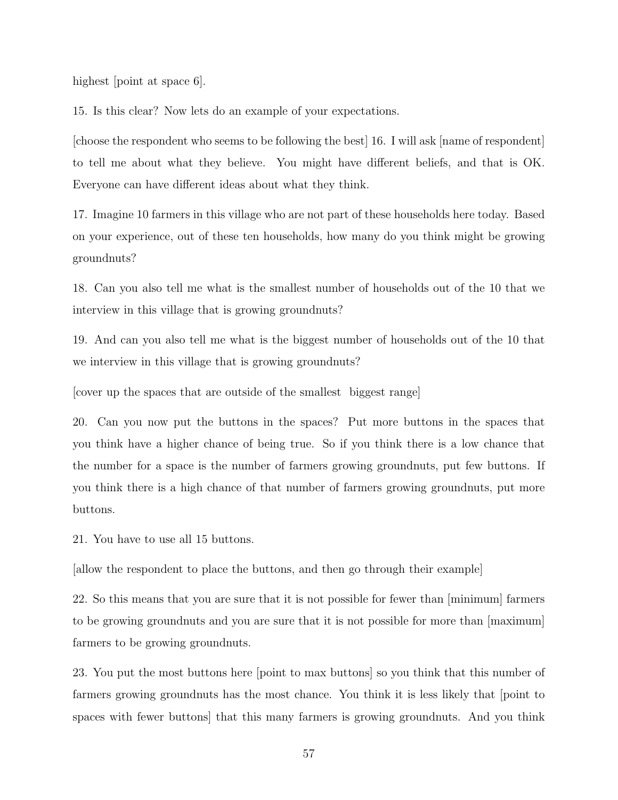highest point at space 6.

15. Is this clear? Now lets do an example of your expectations.

[choose the respondent who seems to be following the best] 16. I will ask [name of respondent] to tell me about what they believe. You might have different beliefs, and that is OK. Everyone can have different ideas about what they think.

17. Imagine 10 farmers in this village who are not part of these households here today. Based on your experience, out of these ten households, how many do you think might be growing groundnuts?

18. Can you also tell me what is the smallest number of households out of the 10 that we interview in this village that is growing groundnuts?

19. And can you also tell me what is the biggest number of households out of the 10 that we interview in this village that is growing groundnuts?

[cover up the spaces that are outside of the smallest biggest range]

20. Can you now put the buttons in the spaces? Put more buttons in the spaces that you think have a higher chance of being true. So if you think there is a low chance that the number for a space is the number of farmers growing groundnuts, put few buttons. If you think there is a high chance of that number of farmers growing groundnuts, put more buttons.

21. You have to use all 15 buttons.

[allow the respondent to place the buttons, and then go through their example]

22. So this means that you are sure that it is not possible for fewer than [minimum] farmers to be growing groundnuts and you are sure that it is not possible for more than [maximum] farmers to be growing groundnuts.

23. You put the most buttons here [point to max buttons] so you think that this number of farmers growing groundnuts has the most chance. You think it is less likely that [point to spaces with fewer buttons] that this many farmers is growing groundnuts. And you think